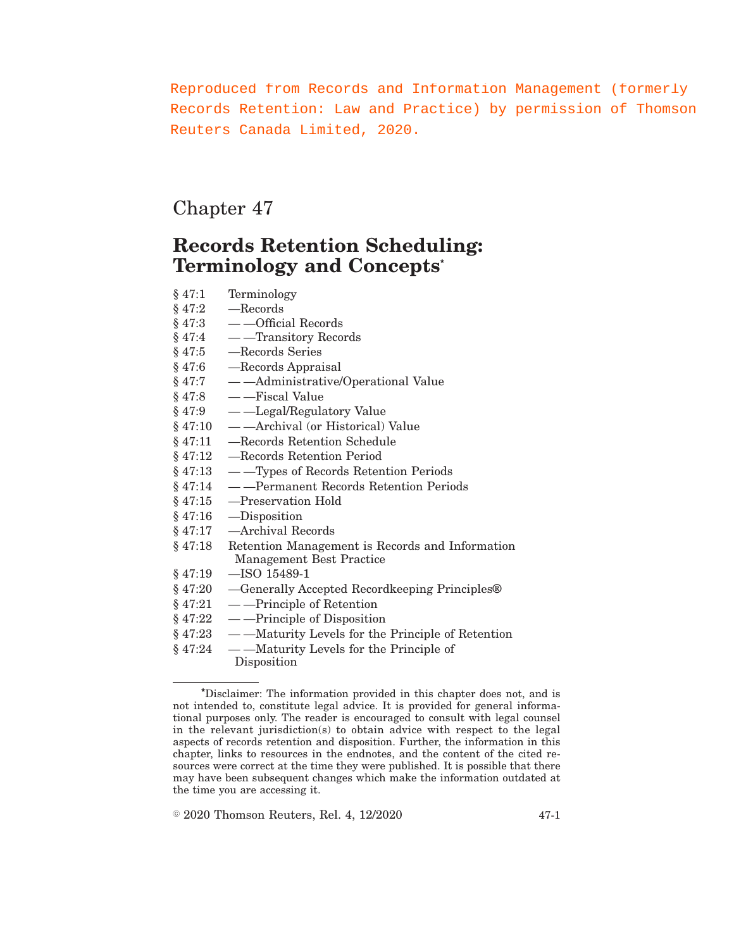Reproduced from Records and Information Management (formerly Records Retention: Law and Practice) by permission of Thomson Reuters Canada Limited, 2020.

# Chapter 47

# **Records Retention Scheduling: Terminology and Concepts\***

- § 47:1 Terminology
- § 47:2 —Records
- § 47:3 —Official Records
- § 47:4 —Transitory Records
- § 47:5 —Records Series
- § 47:6 —Records Appraisal
- § 47:7 —Administrative/Operational Value
- $§ 47:8$  — Fiscal Value
- § 47:9 —Legal/Regulatory Value
- § 47:10 —Archival (or Historical) Value
- § 47:11 —Records Retention Schedule
- § 47:12 —Records Retention Period
- § 47:13 —Types of Records Retention Periods
- § 47:14 —Permanent Records Retention Periods
- § 47:15 —Preservation Hold
- § 47:16 —Disposition
- § 47:17 —Archival Records
- § 47:18 Retention Management is Records and Information Management Best Practice
- § 47:19 —ISO 15489-1
- § 47:20 —Generally Accepted Recordkeeping Principles®
- $§ 47:21 \quad \text{Principle of Retention}$
- $§ 47:22$  — Principle of Disposition
- § 47:23 —Maturity Levels for the Principle of Retention
- § 47:24 —Maturity Levels for the Principle of Disposition

 $\textdegree$  2020 Thomson Reuters, Rel. 4, 12/2020 47-1

**<sup>\*</sup>**Disclaimer: The information provided in this chapter does not, and is not intended to, constitute legal advice. It is provided for general informational purposes only. The reader is encouraged to consult with legal counsel in the relevant jurisdiction(s) to obtain advice with respect to the legal aspects of records retention and disposition. Further, the information in this chapter, links to resources in the endnotes, and the content of the cited resources were correct at the time they were published. It is possible that there may have been subsequent changes which make the information outdated at the time you are accessing it.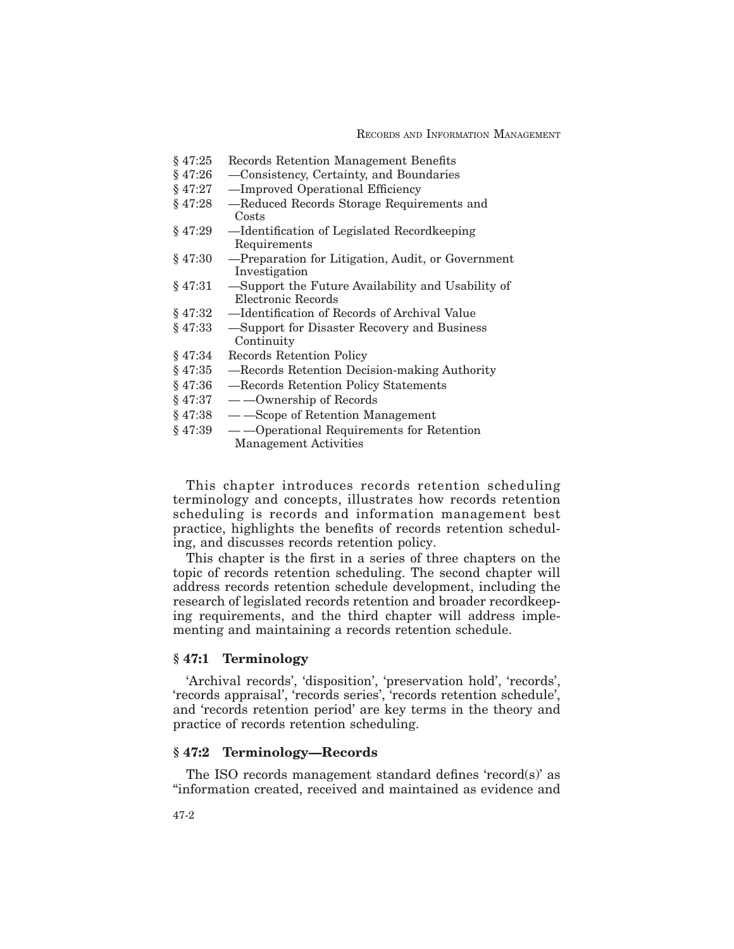RECORDS AND INFORMATION MANAGEMENT

- § 47:25 Records Retention Management Benefits
- § 47:26 —Consistency, Certainty, and Boundaries
- § 47:27 —Improved Operational Efficiency
- § 47:28 —Reduced Records Storage Requirements and Costs
- § 47:29 —Identification of Legislated Recordkeeping Requirements
- § 47:30 —Preparation for Litigation, Audit, or Government Investigation
- § 47:31 —Support the Future Availability and Usability of Electronic Records
- § 47:32 —Identification of Records of Archival Value
- § 47:33 —Support for Disaster Recovery and Business Continuity
- § 47:34 Records Retention Policy
- § 47:35 —Records Retention Decision-making Authority
- § 47:36 —Records Retention Policy Statements
- $§ 47:37 \quad --$ Ownership of Records
- § 47:38 —Scope of Retention Management
- § 47:39 —Operational Requirements for Retention Management Activities

This chapter introduces records retention scheduling terminology and concepts, illustrates how records retention scheduling is records and information management best practice, highlights the benefits of records retention scheduling, and discusses records retention policy.

This chapter is the first in a series of three chapters on the topic of records retention scheduling. The second chapter will address records retention schedule development, including the research of legislated records retention and broader recordkeeping requirements, and the third chapter will address implementing and maintaining a records retention schedule.

## **§ 47:1 Terminology**

'Archival records', 'disposition', 'preservation hold', 'records', 'records appraisal', 'records series', 'records retention schedule', and 'records retention period' are key terms in the theory and practice of records retention scheduling.

### **§ 47:2 Terminology—Records**

The ISO records management standard defines 'record(s)' as "information created, received and maintained as evidence and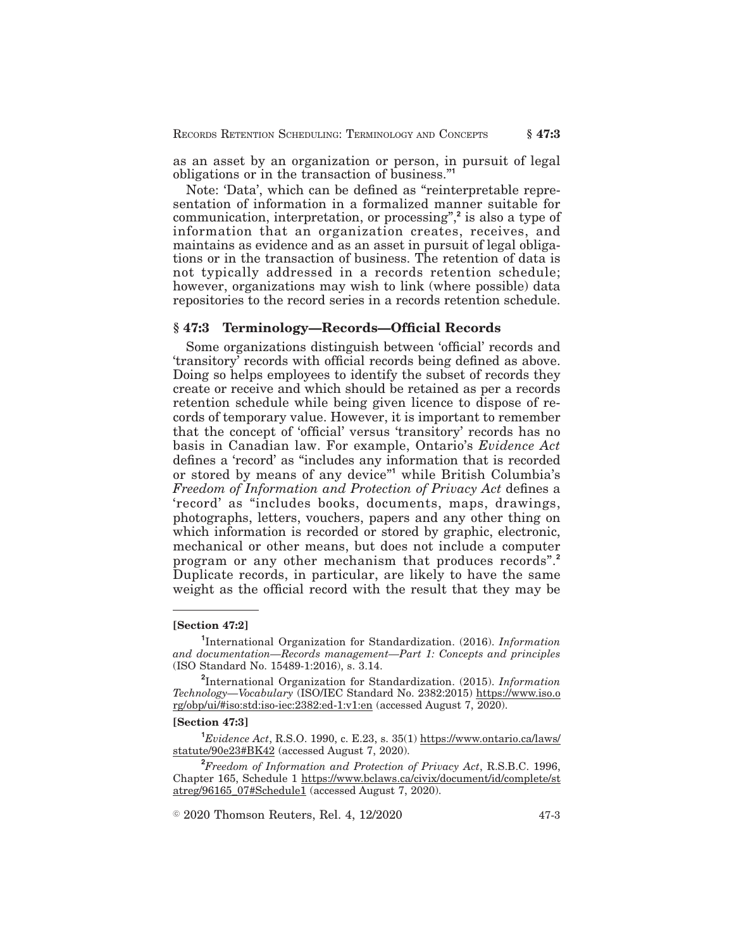as an asset by an organization or person, in pursuit of legal obligations or in the transaction of business."**<sup>1</sup>**

Note: 'Data', which can be defined as "reinterpretable representation of information in a formalized manner suitable for communication, interpretation, or processing",**<sup>2</sup>** is also a type of information that an organization creates, receives, and maintains as evidence and as an asset in pursuit of legal obligations or in the transaction of business. The retention of data is not typically addressed in a records retention schedule; however, organizations may wish to link (where possible) data repositories to the record series in a records retention schedule.

#### **§ 47:3 Terminology—Records—Official Records**

Some organizations distinguish between 'official' records and 'transitory' records with official records being defined as above. Doing so helps employees to identify the subset of records they create or receive and which should be retained as per a records retention schedule while being given licence to dispose of records of temporary value. However, it is important to remember that the concept of 'official' versus 'transitory' records has no basis in Canadian law. For example, Ontario's *Evidence Act* defines a 'record' as "includes any information that is recorded or stored by means of any device"**<sup>1</sup>** while British Columbia's *Freedom of Information and Protection of Privacy Act* defines a 'record' as "includes books, documents, maps, drawings, photographs, letters, vouchers, papers and any other thing on which information is recorded or stored by graphic, electronic, mechanical or other means, but does not include a computer program or any other mechanism that produces records".**<sup>2</sup>** Duplicate records, in particular, are likely to have the same weight as the official record with the result that they may be

#### **[Section 47:2]**

**1** International Organization for Standardization. (2016). *Information and documentation—Records management—Part 1: Concepts and principles* (ISO Standard No. 15489-1:2016), s. 3.14.

#### **[Section 47:3]**

**<sup>1</sup>***Evidence Act*, R.S.O. 1990, c. E.23, s. 35(1) https://www.ontario.ca/laws/ statute/90e23#BK42 (accessed August 7, 2020).

**<sup>2</sup>***Freedom of Information and Protection of Privacy Act*, R.S.B.C. 1996, Chapter 165, Schedule 1 https://www.bclaws.ca/civix/document/id/complete/st atreg/96165\_07#Schedule1 (accessed August 7, 2020).

 $\textcircled{\textdegree{}}$  2020 Thomson Reuters, Rel. 4, 12/2020  $\textcircled{\textdegree{}}$  47-3

**<sup>2</sup>** International Organization for Standardization. (2015). *Information Technology—Vocabulary* (ISO/IEC Standard No. 2382:2015) https://www.iso.o rg/obp/ui/#iso:std:iso-iec:2382:ed-1:v1:en (accessed August 7, 2020).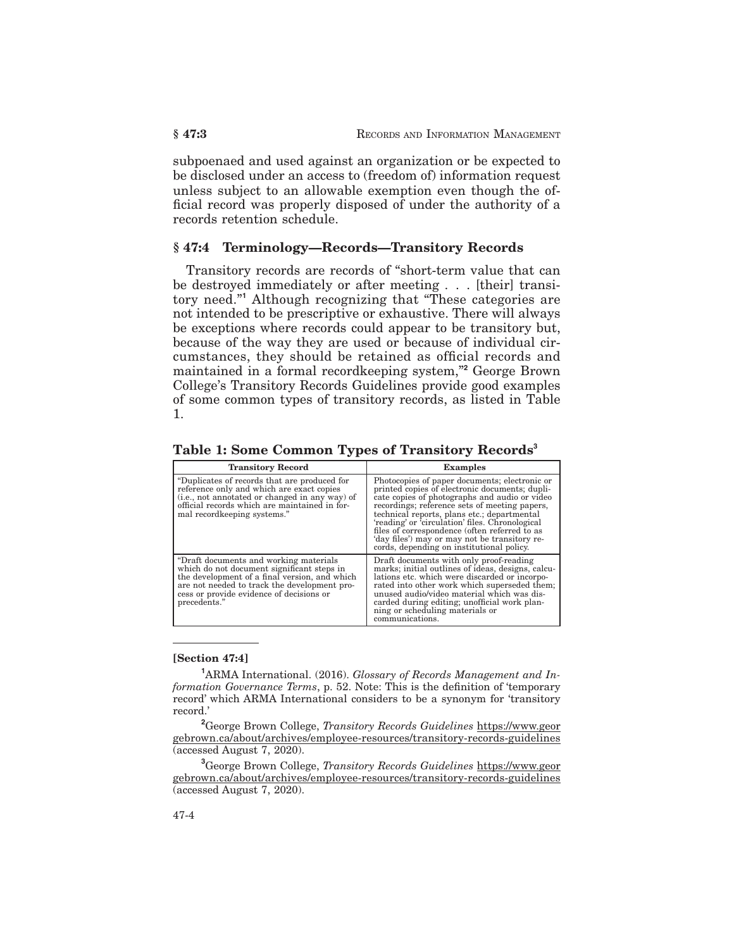subpoenaed and used against an organization or be expected to be disclosed under an access to (freedom of) information request unless subject to an allowable exemption even though the official record was properly disposed of under the authority of a records retention schedule.

## **§ 47:4 Terminology—Records—Transitory Records**

Transitory records are records of "short-term value that can be destroyed immediately or after meeting . . . [their] transitory need."**<sup>1</sup>** Although recognizing that "These categories are not intended to be prescriptive or exhaustive. There will always be exceptions where records could appear to be transitory but, because of the way they are used or because of individual circumstances, they should be retained as official records and maintained in a formal recordkeeping system,"**<sup>2</sup>** George Brown College's Transitory Records Guidelines provide good examples of some common types of transitory records, as listed in Table 1.

| <b>Transitory Record</b>                                                                                                                                                                                                                           | <b>Examples</b>                                                                                                                                                                                                                                                                                                                                                                                                                                    |
|----------------------------------------------------------------------------------------------------------------------------------------------------------------------------------------------------------------------------------------------------|----------------------------------------------------------------------------------------------------------------------------------------------------------------------------------------------------------------------------------------------------------------------------------------------------------------------------------------------------------------------------------------------------------------------------------------------------|
| "Duplicates of records that are produced for<br>reference only and which are exact copies<br>(i.e., not annotated or changed in any way) of<br>official records which are maintained in for-<br>mal recordkeeping systems."                        | Photocopies of paper documents; electronic or<br>printed copies of electronic documents; dupli-<br>cate copies of photographs and audio or video<br>recordings; reference sets of meeting papers,<br>technical reports, plans etc.; departmental<br>'reading' or 'circulation' files. Chronological<br>files of correspondence (often referred to as<br>'day files') may or may not be transitory re-<br>cords, depending on institutional policy. |
| "Draft documents and working materials"<br>which do not document significant steps in<br>the development of a final version, and which<br>are not needed to track the development pro-<br>cess or provide evidence of decisions or<br>precedents." | Draft documents with only proof-reading<br>marks; initial outlines of ideas, designs, calcu-<br>lations etc. which were discarded or incorpo-<br>rated into other work which superseded them;<br>unused audio/video material which was dis-<br>carded during editing; unofficial work plan-<br>ning or scheduling materials or<br>communications.                                                                                                  |

**Table 1: Some Common Types of Transitory Records<sup>3</sup>**

#### **[Section 47:4]**

**<sup>1</sup>**ARMA International. (2016). *Glossary of Records Management and Information Governance Terms*, p. 52. Note: This is the definition of 'temporary record' which ARMA International considers to be a synonym for 'transitory record.'

**<sup>2</sup>**George Brown College, *Transitory Records Guidelines* https://www.geor gebrown.ca/about/archives/employee-resources/transitory-records-guidelines (accessed August 7, 2020).

**<sup>3</sup>**George Brown College, *Transitory Records Guidelines* https://www.geor gebrown.ca/about/archives/employee-resources/transitory-records-guidelines (accessed August 7, 2020).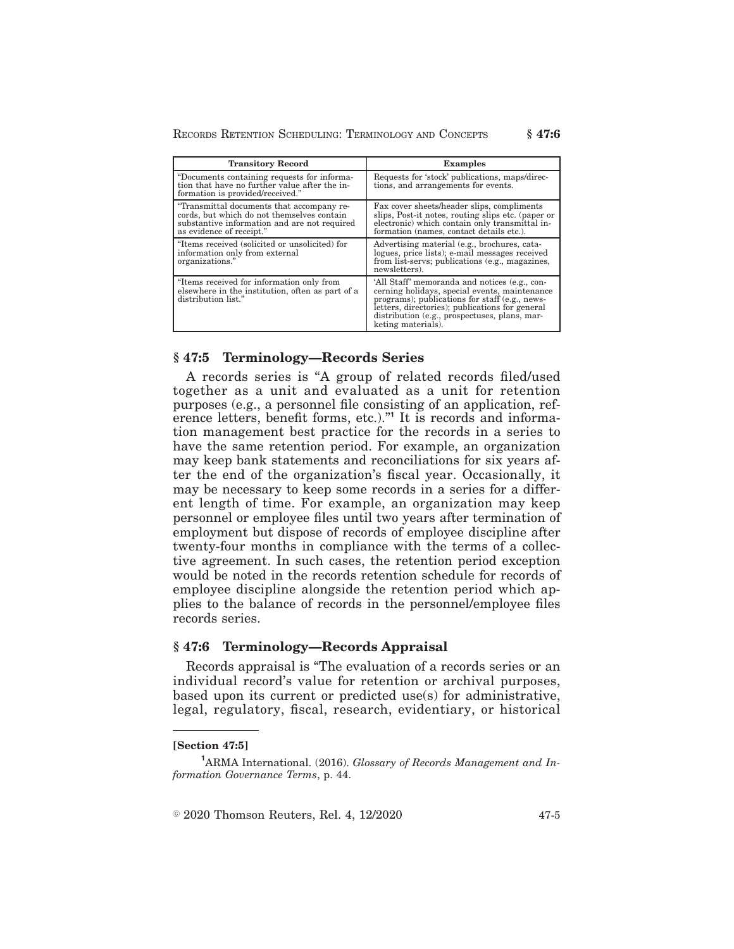RECORDS RETENTION SCHEDULING: TERMINOLOGY AND CONCEPTS **§ 47:6**

| <b>Transitory Record</b>                                                                                                                                            | <b>Examples</b>                                                                                                                                                                                                                                                            |
|---------------------------------------------------------------------------------------------------------------------------------------------------------------------|----------------------------------------------------------------------------------------------------------------------------------------------------------------------------------------------------------------------------------------------------------------------------|
| "Documents containing requests for informa-<br>tion that have no further value after the in-<br>formation is provided/received."                                    | Requests for 'stock' publications, maps/direc-<br>tions, and arrangements for events.                                                                                                                                                                                      |
| "Transmittal documents that accompany re-<br>cords, but which do not themselves contain<br>substantive information and are not required<br>as evidence of receipt." | Fax cover sheets/header slips, compliments<br>slips, Post-it notes, routing slips etc. (paper or<br>electronic) which contain only transmittal in-<br>formation (names, contact details etc.).                                                                             |
| "Items received (solicited or unsolicited) for<br>information only from external<br>organizations."                                                                 | Advertising material (e.g., brochures, cata-<br>logues, price lists); e-mail messages received<br>from list-servs; publications (e.g., magazines,<br>newsletters).                                                                                                         |
| "Items received for information only from<br>elsewhere in the institution, often as part of a<br>distribution list."                                                | 'All Staff' memoranda and notices (e.g., con-<br>cerning holidays, special events, maintenance<br>programs); publications for staff (e.g., news-<br>letters, directories); publications for general<br>distribution (e.g., prospectuses, plans, mar-<br>keting materials). |

## **§ 47:5 Terminology—Records Series**

A records series is "A group of related records filed/used together as a unit and evaluated as a unit for retention purposes (e.g., a personnel file consisting of an application, reference letters, benefit forms, etc.)."<sup>1</sup> It is records and information management best practice for the records in a series to have the same retention period. For example, an organization may keep bank statements and reconciliations for six years after the end of the organization's fiscal year. Occasionally, it may be necessary to keep some records in a series for a different length of time. For example, an organization may keep personnel or employee files until two years after termination of employment but dispose of records of employee discipline after twenty-four months in compliance with the terms of a collective agreement. In such cases, the retention period exception would be noted in the records retention schedule for records of employee discipline alongside the retention period which applies to the balance of records in the personnel/employee files records series.

### **§ 47:6 Terminology—Records Appraisal**

Records appraisal is "The evaluation of a records series or an individual record's value for retention or archival purposes, based upon its current or predicted use(s) for administrative, legal, regulatory, fiscal, research, evidentiary, or historical

#### **[Section 47:5]**

 $\textcircled{\textdegree{}}$  2020 Thomson Reuters, Rel. 4, 12/2020  $\textcircled{\textdegree{}}$  47-5

**<sup>1</sup>**ARMA International. (2016). *Glossary of Records Management and Information Governance Terms*, p. 44.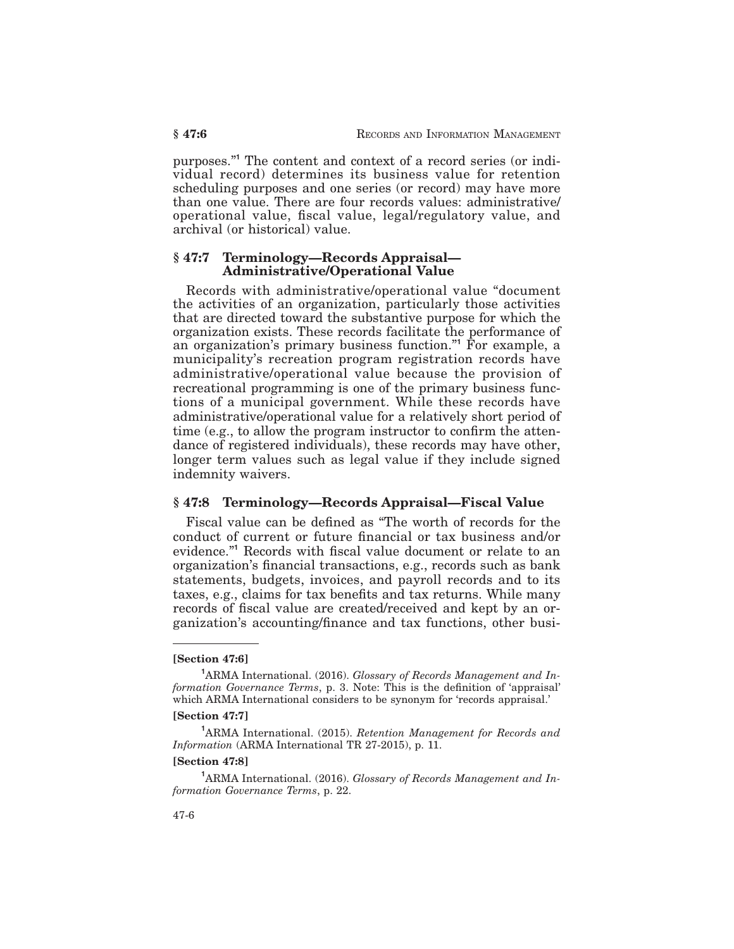purposes."**<sup>1</sup>** The content and context of a record series (or individual record) determines its business value for retention scheduling purposes and one series (or record) may have more than one value. There are four records values: administrative/ operational value, fiscal value, legal/regulatory value, and archival (or historical) value.

### **§ 47:7 Terminology—Records Appraisal— Administrative/Operational Value**

Records with administrative/operational value "document the activities of an organization, particularly those activities that are directed toward the substantive purpose for which the organization exists. These records facilitate the performance of an organization's primary business function."**<sup>1</sup>** For example, a municipality's recreation program registration records have administrative/operational value because the provision of recreational programming is one of the primary business functions of a municipal government. While these records have administrative/operational value for a relatively short period of time (e.g., to allow the program instructor to confirm the attendance of registered individuals), these records may have other, longer term values such as legal value if they include signed indemnity waivers.

### **§ 47:8 Terminology—Records Appraisal—Fiscal Value**

Fiscal value can be defined as "The worth of records for the conduct of current or future financial or tax business and/or evidence."**<sup>1</sup>** Records with fiscal value document or relate to an organization's financial transactions, e.g., records such as bank statements, budgets, invoices, and payroll records and to its taxes, e.g., claims for tax benefits and tax returns. While many records of fiscal value are created/received and kept by an organization's accounting/finance and tax functions, other busi-

#### **[Section 47:7]**

#### **[Section 47:8]**

**<sup>1</sup>**ARMA International. (2016). *Glossary of Records Management and Information Governance Terms*, p. 22.

**<sup>[</sup>Section 47:6]**

**<sup>1</sup>**ARMA International. (2016). *Glossary of Records Management and Information Governance Terms*, p. 3. Note: This is the definition of 'appraisal' which ARMA International considers to be synonym for 'records appraisal.'

**<sup>1</sup>**ARMA International. (2015). *Retention Management for Records and Information* (ARMA International TR 27-2015), p. 11.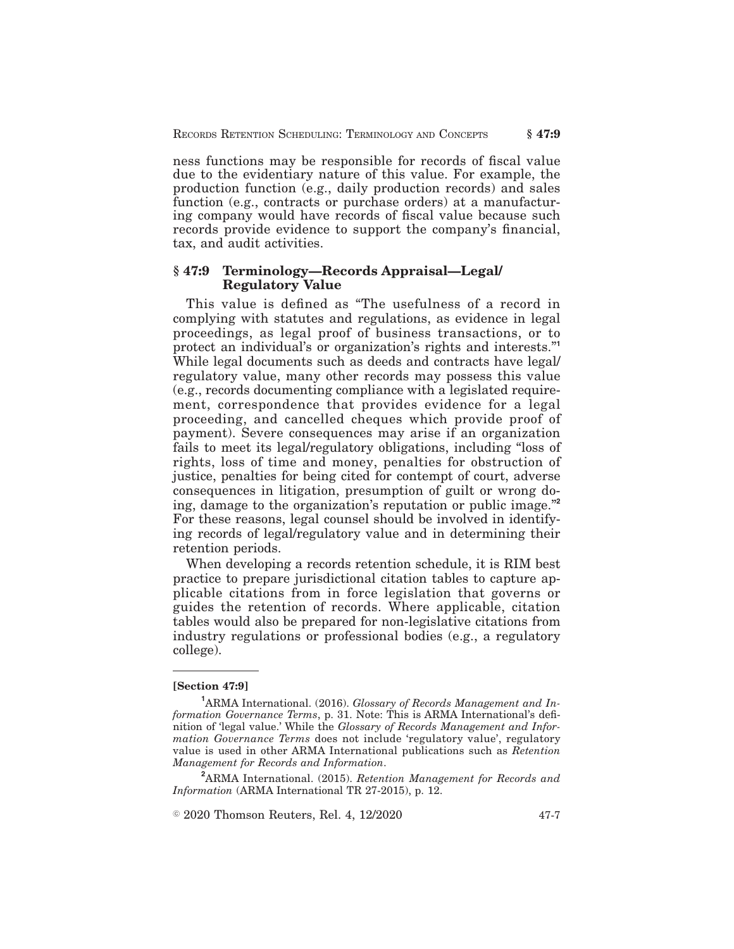ness functions may be responsible for records of fiscal value due to the evidentiary nature of this value. For example, the production function (e.g., daily production records) and sales function (e.g., contracts or purchase orders) at a manufacturing company would have records of fiscal value because such records provide evidence to support the company's financial, tax, and audit activities.

## **§ 47:9 Terminology—Records Appraisal—Legal/ Regulatory Value**

This value is defined as "The usefulness of a record in complying with statutes and regulations, as evidence in legal proceedings, as legal proof of business transactions, or to protect an individual's or organization's rights and interests."**<sup>1</sup>** While legal documents such as deeds and contracts have legal/ regulatory value, many other records may possess this value (e.g., records documenting compliance with a legislated requirement, correspondence that provides evidence for a legal proceeding, and cancelled cheques which provide proof of payment). Severe consequences may arise if an organization fails to meet its legal/regulatory obligations, including "loss of rights, loss of time and money, penalties for obstruction of justice, penalties for being cited for contempt of court, adverse consequences in litigation, presumption of guilt or wrong doing, damage to the organization's reputation or public image."**<sup>2</sup>** For these reasons, legal counsel should be involved in identifying records of legal/regulatory value and in determining their retention periods.

When developing a records retention schedule, it is RIM best practice to prepare jurisdictional citation tables to capture applicable citations from in force legislation that governs or guides the retention of records. Where applicable, citation tables would also be prepared for non-legislative citations from industry regulations or professional bodies (e.g., a regulatory college).

#### **[Section 47:9]**

**<sup>2</sup>**ARMA International. (2015). *Retention Management for Records and Information* (ARMA International TR 27-2015), p. 12.

 $\textcircled{\textdegree{}}$  2020 Thomson Reuters, Rel. 4, 12/2020  $\textcircled{\textdegree{}}$  47-7

**<sup>1</sup>**ARMA International. (2016). *Glossary of Records Management and Information Governance Terms*, p. 31. Note: This is ARMA International's definition of 'legal value.' While the *Glossary of Records Management and Information Governance Terms* does not include 'regulatory value', regulatory value is used in other ARMA International publications such as *Retention Management for Records and Information*.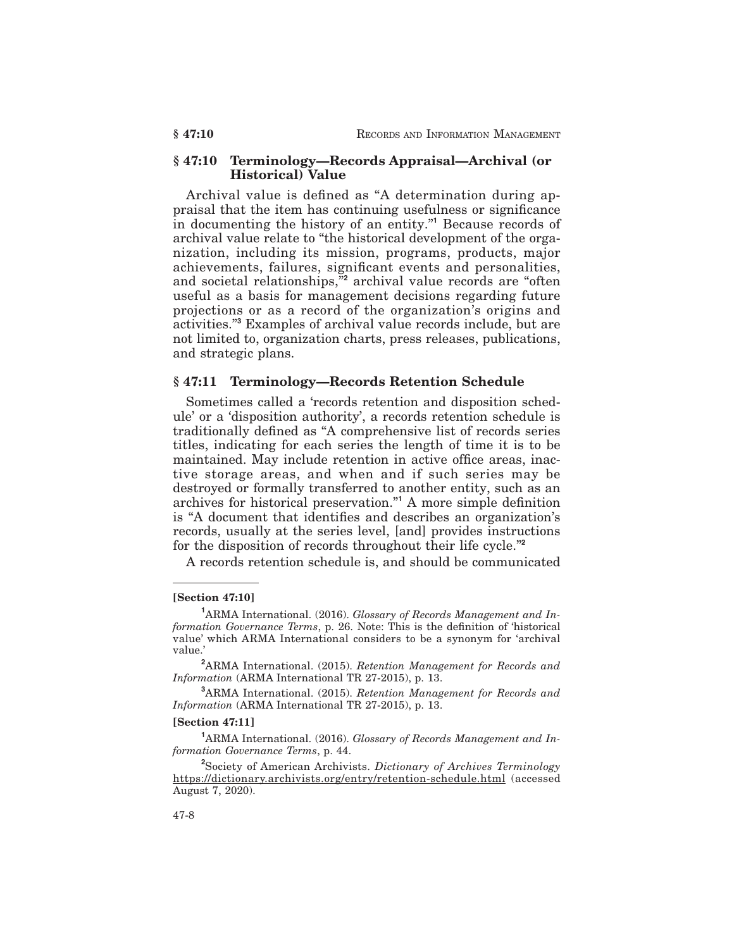## **§ 47:10 Terminology—Records Appraisal—Archival (or Historical) Value**

Archival value is defined as "A determination during appraisal that the item has continuing usefulness or significance in documenting the history of an entity."**<sup>1</sup>** Because records of archival value relate to "the historical development of the organization, including its mission, programs, products, major achievements, failures, significant events and personalities, and societal relationships,"**<sup>2</sup>** archival value records are "often useful as a basis for management decisions regarding future projections or as a record of the organization's origins and activities."**<sup>3</sup>** Examples of archival value records include, but are not limited to, organization charts, press releases, publications, and strategic plans.

## **§ 47:11 Terminology—Records Retention Schedule**

Sometimes called a 'records retention and disposition schedule' or a 'disposition authority', a records retention schedule is traditionally defined as "A comprehensive list of records series titles, indicating for each series the length of time it is to be maintained. May include retention in active office areas, inactive storage areas, and when and if such series may be destroyed or formally transferred to another entity, such as an archives for historical preservation."**<sup>1</sup>** A more simple definition is "A document that identifies and describes an organization's records, usually at the series level, [and] provides instructions for the disposition of records throughout their life cycle."**<sup>2</sup>**

A records retention schedule is, and should be communicated

#### **[Section 47:10]**

#### **[Section 47:11]**

**<sup>1</sup>**ARMA International. (2016). *Glossary of Records Management and Information Governance Terms*, p. 44.

**2** Society of American Archivists. *Dictionary of Archives Terminology* https://dictionary.archivists.org/entry/retention-schedule.html (accessed August 7, 2020).

**<sup>1</sup>**ARMA International. (2016). *Glossary of Records Management and Information Governance Terms*, p. 26. Note: This is the definition of 'historical value' which ARMA International considers to be a synonym for 'archival value.'

**<sup>2</sup>**ARMA International. (2015). *Retention Management for Records and Information* (ARMA International TR 27-2015), p. 13.

**<sup>3</sup>**ARMA International. (2015). *Retention Management for Records and Information* (ARMA International TR 27-2015), p. 13.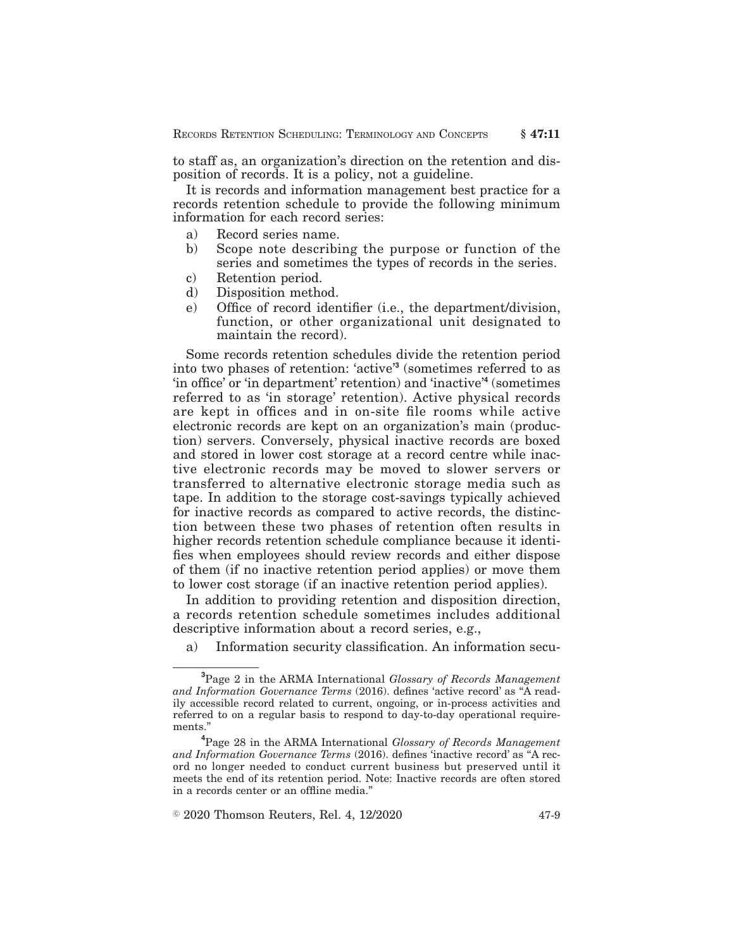to staff as, an organization's direction on the retention and disposition of records. It is a policy, not a guideline.

It is records and information management best practice for a records retention schedule to provide the following minimum information for each record series:

- a) Record series name.
- b) Scope note describing the purpose or function of the series and sometimes the types of records in the series.
- c) Retention period.
- d) Disposition method.
- e) Office of record identifier (i.e., the department/division, function, or other organizational unit designated to maintain the record).

Some records retention schedules divide the retention period into two phases of retention: 'active'**<sup>3</sup>** (sometimes referred to as 'in office' or 'in department' retention) and 'inactive'**<sup>4</sup>** (sometimes referred to as 'in storage' retention). Active physical records are kept in offices and in on-site file rooms while active electronic records are kept on an organization's main (production) servers. Conversely, physical inactive records are boxed and stored in lower cost storage at a record centre while inactive electronic records may be moved to slower servers or transferred to alternative electronic storage media such as tape. In addition to the storage cost-savings typically achieved for inactive records as compared to active records, the distinction between these two phases of retention often results in higher records retention schedule compliance because it identifies when employees should review records and either dispose of them (if no inactive retention period applies) or move them to lower cost storage (if an inactive retention period applies).

In addition to providing retention and disposition direction, a records retention schedule sometimes includes additional descriptive information about a record series, e.g.,

a) Information security classification. An information secu-

**<sup>3</sup>**Page 2 in the ARMA International *Glossary of Records Management and Information Governance Terms* (2016). defines 'active record' as "A readily accessible record related to current, ongoing, or in-process activities and referred to on a regular basis to respond to day-to-day operational requirements."

**<sup>4</sup>**Page 28 in the ARMA International *Glossary of Records Management and Information Governance Terms* (2016). defines 'inactive record' as "A record no longer needed to conduct current business but preserved until it meets the end of its retention period. Note: Inactive records are often stored in a records center or an offline media."

 $\textdegree$  2020 Thomson Reuters, Rel. 4, 12/2020  $\textdegree$  47-9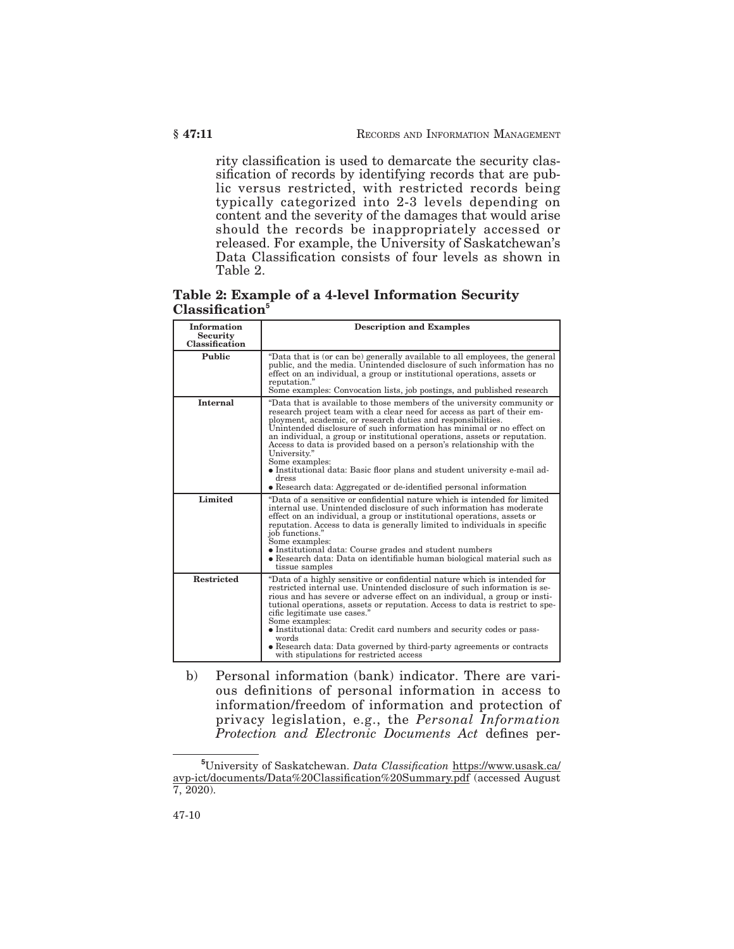rity classification is used to demarcate the security classification of records by identifying records that are public versus restricted, with restricted records being typically categorized into 2-3 levels depending on content and the severity of the damages that would arise should the records be inappropriately accessed or released. For example, the University of Saskatchewan's Data Classification consists of four levels as shown in Table 2.

**Table 2: Example of a 4-level Information Security Classification<sup>5</sup>**

| <b>Information</b><br><b>Security</b><br>Classification | <b>Description and Examples</b>                                                                                                                                                                                                                                                                                                                                                                                                                                                                                                                                                                                                               |
|---------------------------------------------------------|-----------------------------------------------------------------------------------------------------------------------------------------------------------------------------------------------------------------------------------------------------------------------------------------------------------------------------------------------------------------------------------------------------------------------------------------------------------------------------------------------------------------------------------------------------------------------------------------------------------------------------------------------|
| <b>Public</b>                                           | "Data that is (or can be) generally available to all employees, the general<br>public, and the media. Unintended disclosure of such information has no<br>effect on an individual, a group or institutional operations, assets or<br>reputation."<br>Some examples: Convocation lists, job postings, and published research                                                                                                                                                                                                                                                                                                                   |
| Internal                                                | "Data that is available to those members of the university community or<br>research project team with a clear need for access as part of their em-<br>ployment, academic, or research duties and responsibilities.<br>Unintended disclosure of such information has minimal or no effect on<br>an individual, a group or institutional operations, assets or reputation.<br>Access to data is provided based on a person's relationship with the<br>University."<br>Some examples:<br>• Institutional data: Basic floor plans and student university e-mail ad-<br>dress<br>• Research data: Aggregated or de-identified personal information |
| Limited                                                 | "Data of a sensitive or confidential nature which is intended for limited<br>internal use. Unintended disclosure of such information has moderate<br>effect on an individual, a group or institutional operations, assets or<br>reputation. Access to data is generally limited to individuals in specific<br>job functions."<br>Some examples:<br>• Institutional data: Course grades and student numbers<br>• Research data: Data on identifiable human biological material such as<br>tissue samples                                                                                                                                       |
| <b>Restricted</b>                                       | "Data of a highly sensitive or confidential nature which is intended for<br>restricted internal use. Unintended disclosure of such information is se-<br>rious and has severe or adverse effect on an individual, a group or insti-<br>tutional operations, assets or reputation. Access to data is restrict to spe-<br>cific legitimate use cases."<br>Some examples:<br>• Institutional data: Credit card numbers and security codes or pass-<br>words<br>• Research data: Data governed by third-party agreements or contracts<br>with stipulations for restricted access                                                                  |

b) Personal information (bank) indicator. There are various definitions of personal information in access to information/freedom of information and protection of privacy legislation, e.g., the *Personal Information Protection and Electronic Documents Act* defines per-

**<sup>5</sup>**University of Saskatchewan. *Data Classification* https://www.usask.ca/ avp-ict/documents/Data%20Classification%20Summary.pdf (accessed August  $7, 2020$ ).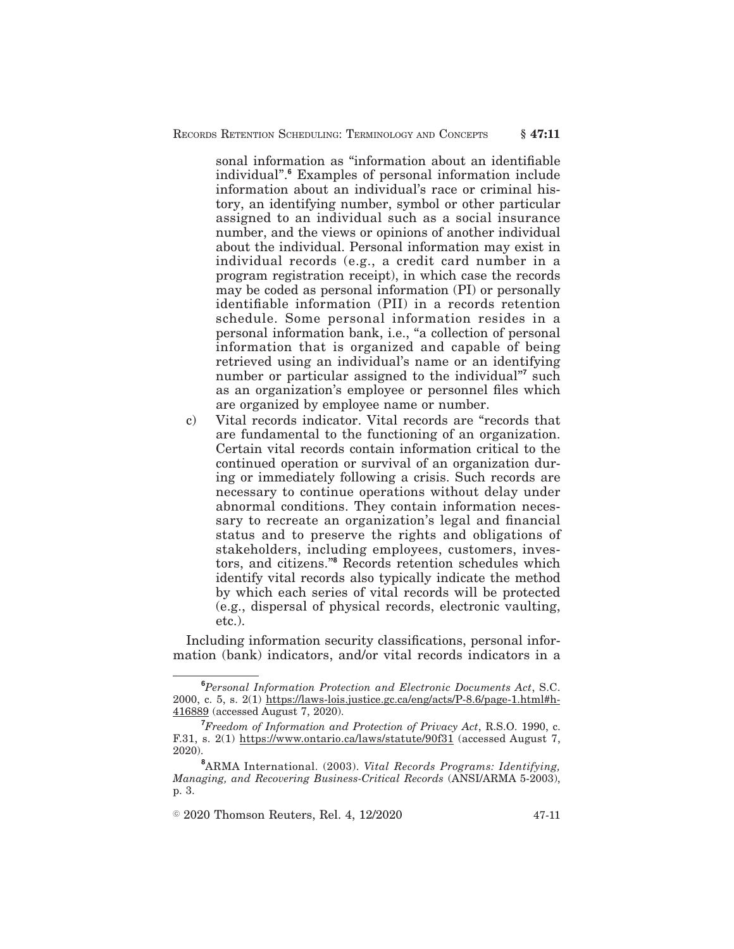sonal information as "information about an identifiable individual".**<sup>6</sup>** Examples of personal information include information about an individual's race or criminal history, an identifying number, symbol or other particular assigned to an individual such as a social insurance number, and the views or opinions of another individual about the individual. Personal information may exist in individual records (e.g., a credit card number in a program registration receipt), in which case the records may be coded as personal information (PI) or personally identifiable information (PII) in a records retention schedule. Some personal information resides in a personal information bank, i.e., "a collection of personal information that is organized and capable of being retrieved using an individual's name or an identifying number or particular assigned to the individual"<sup>7</sup> such as an organization's employee or personnel files which are organized by employee name or number.

c) Vital records indicator. Vital records are "records that are fundamental to the functioning of an organization. Certain vital records contain information critical to the continued operation or survival of an organization during or immediately following a crisis. Such records are necessary to continue operations without delay under abnormal conditions. They contain information necessary to recreate an organization's legal and financial status and to preserve the rights and obligations of stakeholders, including employees, customers, investors, and citizens."**<sup>8</sup>** Records retention schedules which identify vital records also typically indicate the method by which each series of vital records will be protected (e.g., dispersal of physical records, electronic vaulting, etc.).

Including information security classifications, personal information (bank) indicators, and/or vital records indicators in a

 $\textcircled{2020}$  Thomson Reuters, Rel. 4, 12/2020  $\textcircled{47-11}$ 

**<sup>6</sup>***Personal Information Protection and Electronic Documents Act*, S.C. 2000, c. 5, s. 2(1) https://laws-lois.justice.gc.ca/eng/acts/P-8.6/page-1.html#h-416889 (accessed August 7, 2020).

**<sup>7</sup>***Freedom of Information and Protection of Privacy Act*, R.S.O. 1990, c. F.31, s. 2(1) https://www.ontario.ca/laws/statute/90f31 (accessed August 7, 2020).

**<sup>8</sup>**ARMA International. (2003). *Vital Records Programs: Identifying, Managing, and Recovering Business-Critical Records* (ANSI/ARMA 5-2003), p. 3.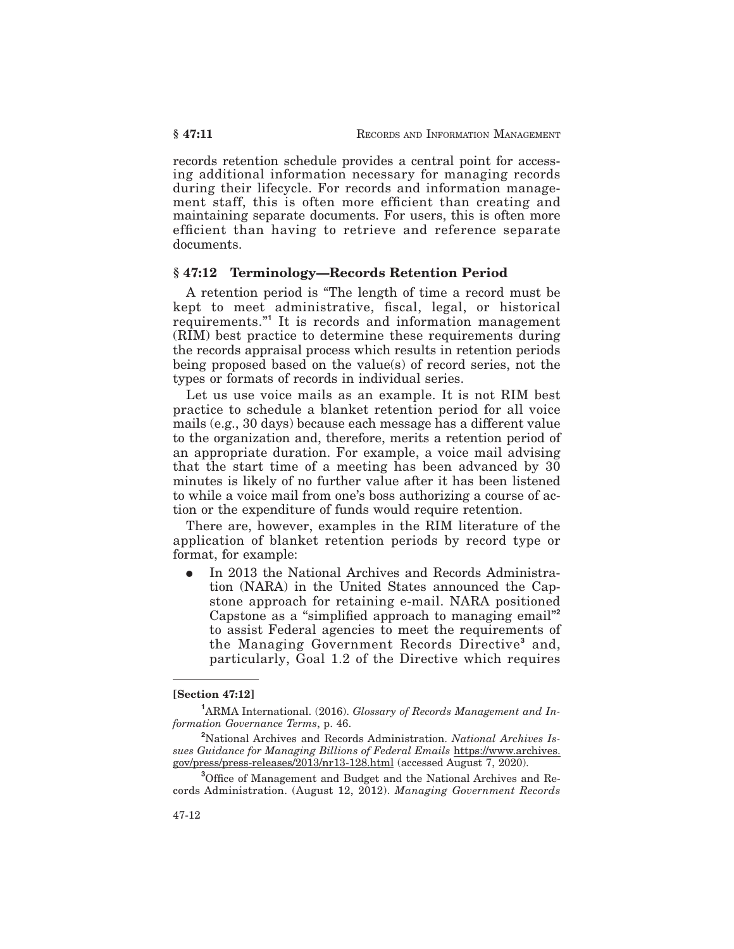records retention schedule provides a central point for accessing additional information necessary for managing records during their lifecycle. For records and information management staff, this is often more efficient than creating and maintaining separate documents. For users, this is often more efficient than having to retrieve and reference separate documents.

## **§ 47:12 Terminology—Records Retention Period**

A retention period is "The length of time a record must be kept to meet administrative, fiscal, legal, or historical requirements."**<sup>1</sup>** It is records and information management (RIM) best practice to determine these requirements during the records appraisal process which results in retention periods being proposed based on the value(s) of record series, not the types or formats of records in individual series.

Let us use voice mails as an example. It is not RIM best practice to schedule a blanket retention period for all voice mails (e.g., 30 days) because each message has a different value to the organization and, therefore, merits a retention period of an appropriate duration. For example, a voice mail advising that the start time of a meeting has been advanced by 30 minutes is likely of no further value after it has been listened to while a voice mail from one's boss authorizing a course of action or the expenditure of funds would require retention.

There are, however, examples in the RIM literature of the application of blanket retention periods by record type or format, for example:

In 2013 the National Archives and Records Administration (NARA) in the United States announced the Capstone approach for retaining e-mail. NARA positioned Capstone as a "simplified approach to managing email"**<sup>2</sup>** to assist Federal agencies to meet the requirements of the Managing Government Records Directive**<sup>3</sup>** and, particularly, Goal 1.2 of the Directive which requires

### **[Section 47:12]**

**<sup>1</sup>**ARMA International. (2016). *Glossary of Records Management and Information Governance Terms*, p. 46.

**<sup>2</sup>**National Archives and Records Administration. *National Archives Issues Guidance for Managing Billions of Federal Emails* https://www.archives. gov/press/press-releases/2013/nr13-128.html (accessed August 7, 2020).

**<sup>3</sup>**Office of Management and Budget and the National Archives and Records Administration. (August 12, 2012). *Managing Government Records*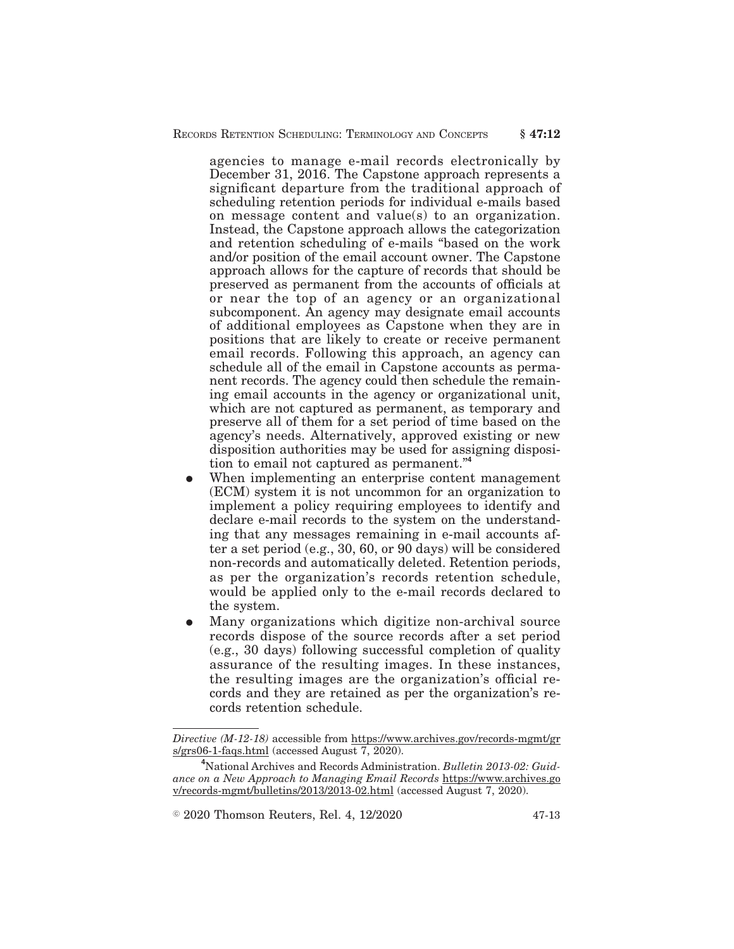agencies to manage e-mail records electronically by December 31, 2016. The Capstone approach represents a significant departure from the traditional approach of scheduling retention periods for individual e-mails based on message content and value(s) to an organization. Instead, the Capstone approach allows the categorization and retention scheduling of e-mails "based on the work and/or position of the email account owner. The Capstone approach allows for the capture of records that should be preserved as permanent from the accounts of officials at or near the top of an agency or an organizational subcomponent. An agency may designate email accounts of additional employees as Capstone when they are in positions that are likely to create or receive permanent email records. Following this approach, an agency can schedule all of the email in Capstone accounts as permanent records. The agency could then schedule the remaining email accounts in the agency or organizational unit, which are not captured as permanent, as temporary and preserve all of them for a set period of time based on the agency's needs. Alternatively, approved existing or new disposition authorities may be used for assigning disposition to email not captured as permanent."**<sup>4</sup>**

- When implementing an enterprise content management (ECM) system it is not uncommon for an organization to implement a policy requiring employees to identify and declare e-mail records to the system on the understanding that any messages remaining in e-mail accounts after a set period (e.g., 30, 60, or 90 days) will be considered non-records and automatically deleted. Retention periods, as per the organization's records retention schedule, would be applied only to the e-mail records declared to the system.
- Many organizations which digitize non-archival source records dispose of the source records after a set period (e.g., 30 days) following successful completion of quality assurance of the resulting images. In these instances, the resulting images are the organization's official records and they are retained as per the organization's records retention schedule.

 $\textdegree$  2020 Thomson Reuters, Rel. 4, 12/2020  $\textdegree$  47-13

*Directive (M-12-18)* accessible from https://www.archives.gov/records-mgmt/gr s/grs06-1-faqs.html (accessed August 7, 2020).

**<sup>4</sup>**National Archives and Records Administration. *Bulletin 2013-02: Guidance on a New Approach to Managing Email Records* https://www.archives.go v/records-mgmt/bulletins/2013/2013-02.html (accessed August 7, 2020).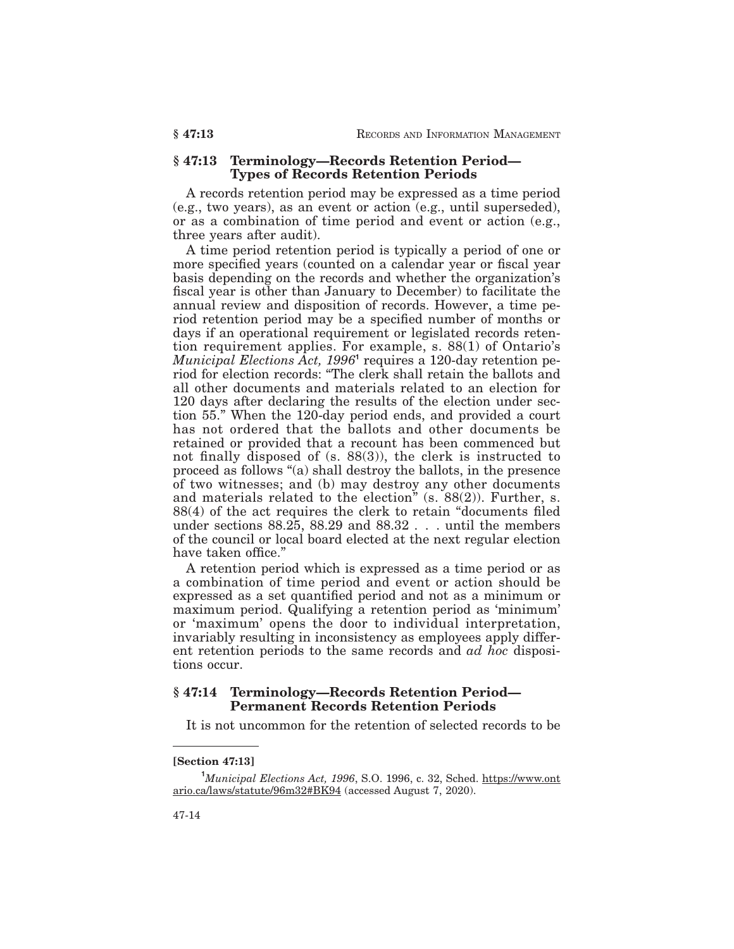## **§ 47:13 Terminology—Records Retention Period— Types of Records Retention Periods**

A records retention period may be expressed as a time period (e.g., two years), as an event or action (e.g., until superseded), or as a combination of time period and event or action (e.g., three years after audit).

A time period retention period is typically a period of one or more specified years (counted on a calendar year or fiscal year basis depending on the records and whether the organization's fiscal year is other than January to December) to facilitate the annual review and disposition of records. However, a time period retention period may be a specified number of months or days if an operational requirement or legislated records retention requirement applies. For example, s. 88(1) of Ontario's *Municipal Elections Act, 1996***<sup>1</sup>** requires a 120-day retention period for election records: "The clerk shall retain the ballots and all other documents and materials related to an election for 120 days after declaring the results of the election under section 55." When the 120-day period ends, and provided a court has not ordered that the ballots and other documents be retained or provided that a recount has been commenced but not finally disposed of (s. 88(3)), the clerk is instructed to proceed as follows "(a) shall destroy the ballots, in the presence of two witnesses; and (b) may destroy any other documents and materials related to the election" (s. 88(2)). Further, s. 88(4) of the act requires the clerk to retain "documents filed under sections 88.25, 88.29 and 88.32 . . . until the members of the council or local board elected at the next regular election have taken office."

A retention period which is expressed as a time period or as a combination of time period and event or action should be expressed as a set quantified period and not as a minimum or maximum period. Qualifying a retention period as 'minimum' or 'maximum' opens the door to individual interpretation, invariably resulting in inconsistency as employees apply different retention periods to the same records and *ad hoc* dispositions occur.

## **§ 47:14 Terminology—Records Retention Period— Permanent Records Retention Periods**

It is not uncommon for the retention of selected records to be

#### **[Section 47:13]**

**<sup>1</sup>***Municipal Elections Act, 1996*, S.O. 1996, c. 32, Sched. https://www.ont ario.ca/laws/statute/96m32#BK94 (accessed August 7, 2020).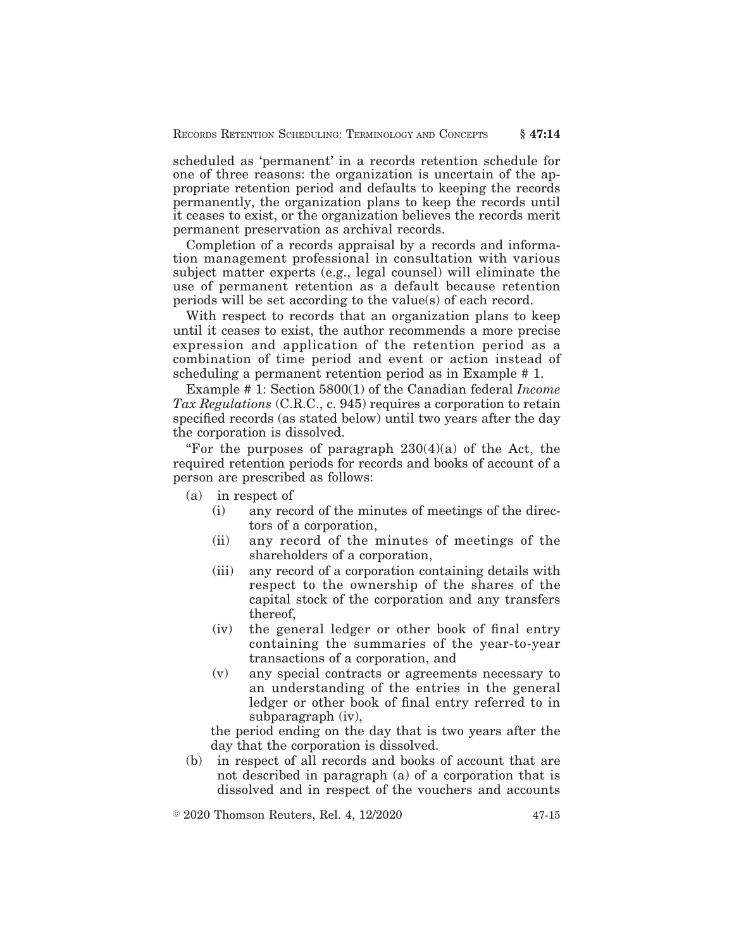scheduled as 'permanent' in a records retention schedule for one of three reasons: the organization is uncertain of the appropriate retention period and defaults to keeping the records permanently, the organization plans to keep the records until it ceases to exist, or the organization believes the records merit permanent preservation as archival records.

Completion of a records appraisal by a records and information management professional in consultation with various subject matter experts (e.g., legal counsel) will eliminate the use of permanent retention as a default because retention periods will be set according to the value(s) of each record.

With respect to records that an organization plans to keep until it ceases to exist, the author recommends a more precise expression and application of the retention period as a combination of time period and event or action instead of scheduling a permanent retention period as in Example # 1.

Example # 1: Section 5800(1) of the Canadian federal *Income Tax Regulations* (C.R.C., c. 945) requires a corporation to retain specified records (as stated below) until two years after the day the corporation is dissolved.

"For the purposes of paragraph  $230(4)(a)$  of the Act, the required retention periods for records and books of account of a person are prescribed as follows:

- (a) in respect of
	- (i) any record of the minutes of meetings of the directors of a corporation,
	- (ii) any record of the minutes of meetings of the shareholders of a corporation,
	- (iii) any record of a corporation containing details with respect to the ownership of the shares of the capital stock of the corporation and any transfers thereof,
	- (iv) the general ledger or other book of final entry containing the summaries of the year-to-year transactions of a corporation, and
	- (v) any special contracts or agreements necessary to an understanding of the entries in the general ledger or other book of final entry referred to in subparagraph (iv),

the period ending on the day that is two years after the day that the corporation is dissolved.

(b) in respect of all records and books of account that are not described in paragraph (a) of a corporation that is dissolved and in respect of the vouchers and accounts

 $\textdegree$  2020 Thomson Reuters, Rel. 4, 12/2020 47-15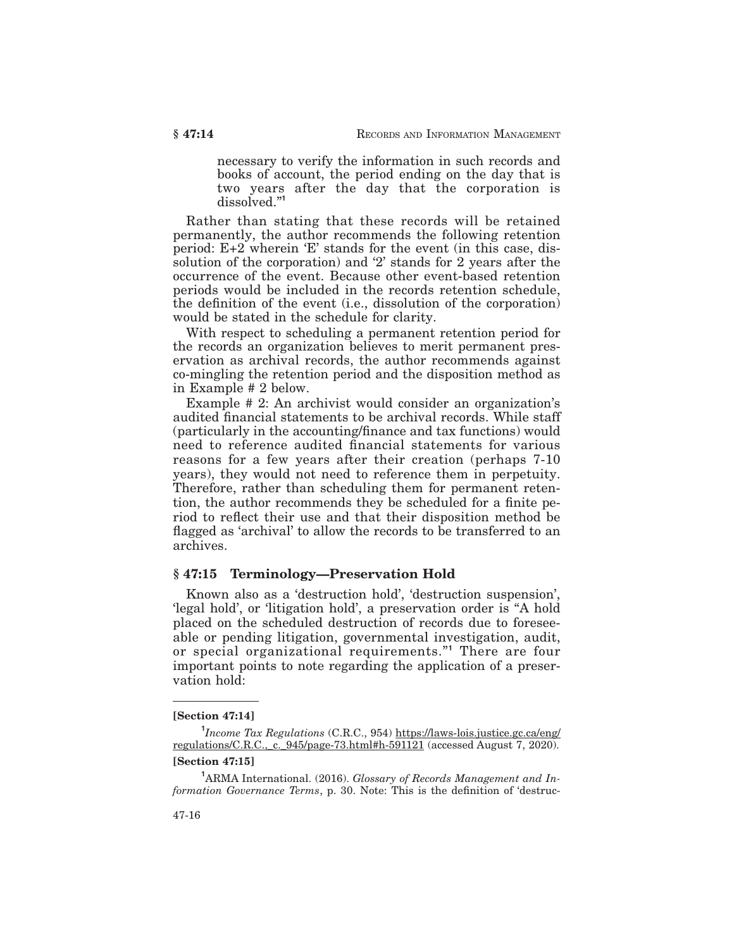necessary to verify the information in such records and books of account, the period ending on the day that is two years after the day that the corporation is dissolved."**<sup>1</sup>**

Rather than stating that these records will be retained permanently, the author recommends the following retention period: E+2 wherein 'E' stands for the event (in this case, dissolution of the corporation) and '2' stands for 2 years after the occurrence of the event. Because other event-based retention periods would be included in the records retention schedule, the definition of the event (i.e., dissolution of the corporation) would be stated in the schedule for clarity.

With respect to scheduling a permanent retention period for the records an organization believes to merit permanent preservation as archival records, the author recommends against co-mingling the retention period and the disposition method as in Example # 2 below.

Example # 2: An archivist would consider an organization's audited financial statements to be archival records. While staff (particularly in the accounting/finance and tax functions) would need to reference audited financial statements for various reasons for a few years after their creation (perhaps 7-10 years), they would not need to reference them in perpetuity. Therefore, rather than scheduling them for permanent retention, the author recommends they be scheduled for a finite period to reflect their use and that their disposition method be flagged as 'archival' to allow the records to be transferred to an archives.

### **§ 47:15 Terminology—Preservation Hold**

Known also as a 'destruction hold', 'destruction suspension', 'legal hold', or 'litigation hold', a preservation order is "A hold placed on the scheduled destruction of records due to foreseeable or pending litigation, governmental investigation, audit, or special organizational requirements."**<sup>1</sup>** There are four important points to note regarding the application of a preservation hold:

#### **[Section 47:14]**

## **[Section 47:15]**

**<sup>1</sup>**ARMA International. (2016). *Glossary of Records Management and Information Governance Terms*, p. 30. Note: This is the definition of 'destruc-

**<sup>1</sup>** *Income Tax Regulations* (C.R.C., 954) https://laws-lois.justice.gc.ca/eng/ regulations/C.R.C.,\_c.\_945/page-73.html#h-591121 (accessed August 7, 2020).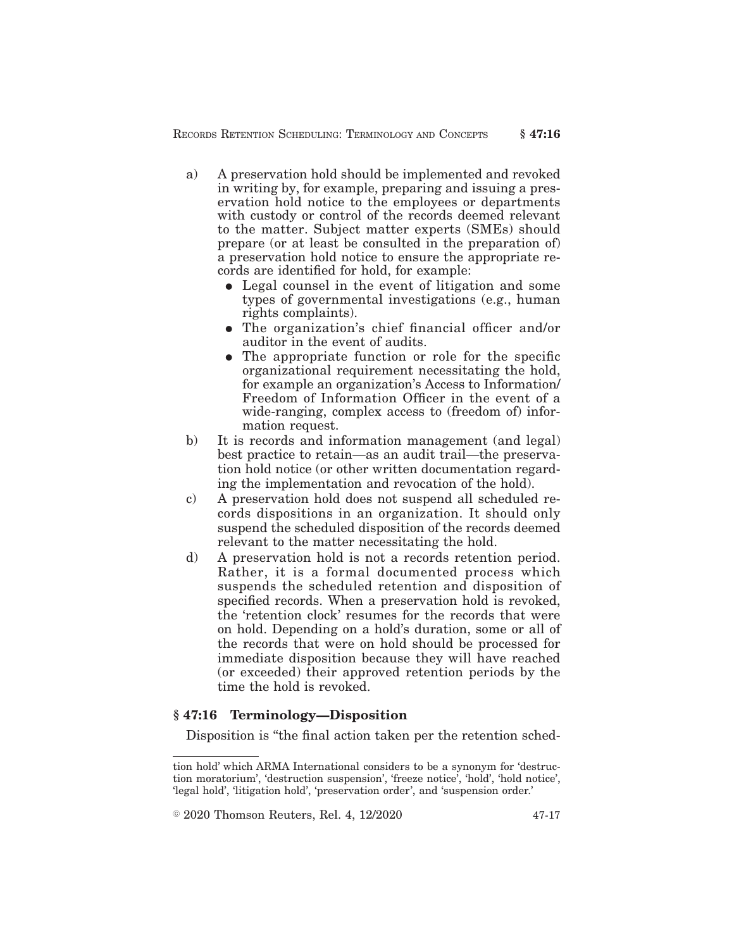- a) A preservation hold should be implemented and revoked in writing by, for example, preparing and issuing a preservation hold notice to the employees or departments with custody or control of the records deemed relevant to the matter. Subject matter experts (SMEs) should prepare (or at least be consulted in the preparation of) a preservation hold notice to ensure the appropriate records are identified for hold, for example:
	- Legal counsel in the event of litigation and some types of governmental investigations (e.g., human rights complaints).
	- The organization's chief financial officer and/or auditor in the event of audits.
	- The appropriate function or role for the specific organizational requirement necessitating the hold, for example an organization's Access to Information/ Freedom of Information Officer in the event of a wide-ranging, complex access to (freedom of) information request.
- b) It is records and information management (and legal) best practice to retain—as an audit trail—the preservation hold notice (or other written documentation regarding the implementation and revocation of the hold).
- c) A preservation hold does not suspend all scheduled records dispositions in an organization. It should only suspend the scheduled disposition of the records deemed relevant to the matter necessitating the hold.
- d) A preservation hold is not a records retention period. Rather, it is a formal documented process which suspends the scheduled retention and disposition of specified records. When a preservation hold is revoked, the 'retention clock' resumes for the records that were on hold. Depending on a hold's duration, some or all of the records that were on hold should be processed for immediate disposition because they will have reached (or exceeded) their approved retention periods by the time the hold is revoked.

## **§ 47:16 Terminology—Disposition**

Disposition is "the final action taken per the retention sched-

 $\textcircled{2020}$  Thomson Reuters, Rel. 4, 12/2020  $\textcircled{47-17}$ 

tion hold' which ARMA International considers to be a synonym for 'destruction moratorium', 'destruction suspension', 'freeze notice', 'hold', 'hold notice', 'legal hold', 'litigation hold', 'preservation order', and 'suspension order.'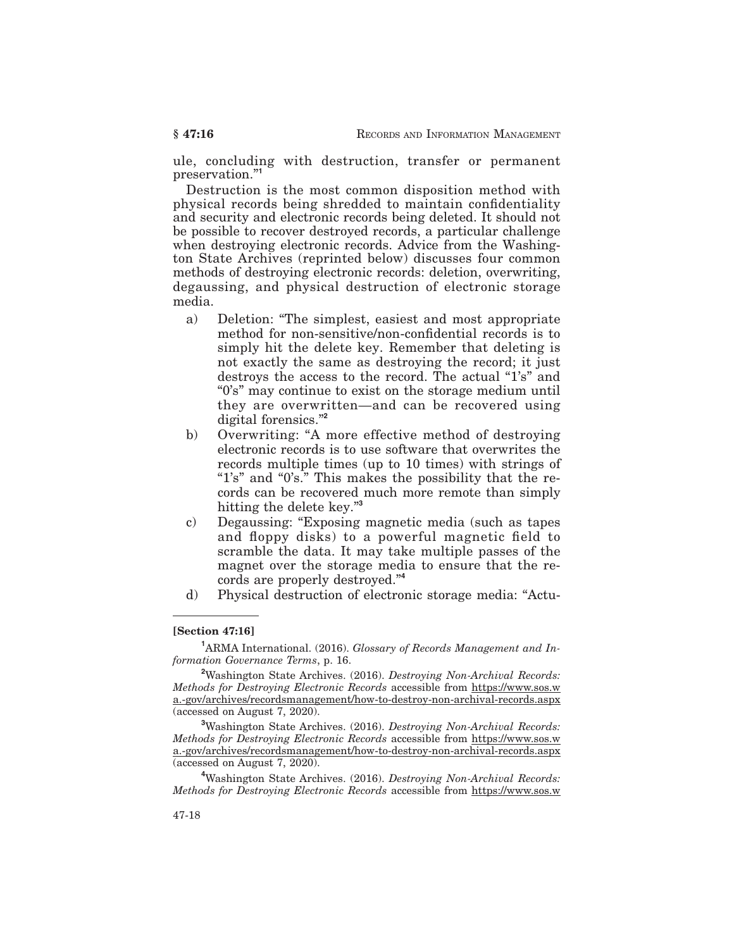ule, concluding with destruction, transfer or permanent preservation."**<sup>1</sup>**

Destruction is the most common disposition method with physical records being shredded to maintain confidentiality and security and electronic records being deleted. It should not be possible to recover destroyed records, a particular challenge when destroying electronic records. Advice from the Washington State Archives (reprinted below) discusses four common methods of destroying electronic records: deletion, overwriting, degaussing, and physical destruction of electronic storage media.

- a) Deletion: "The simplest, easiest and most appropriate method for non-sensitive/non-confidential records is to simply hit the delete key. Remember that deleting is not exactly the same as destroying the record; it just destroys the access to the record. The actual "1's" and "0's" may continue to exist on the storage medium until they are overwritten—and can be recovered using digital forensics."**<sup>2</sup>**
- b) Overwriting: "A more effective method of destroying electronic records is to use software that overwrites the records multiple times (up to 10 times) with strings of "1's" and "0's." This makes the possibility that the records can be recovered much more remote than simply hitting the delete key."**<sup>3</sup>**
- c) Degaussing: "Exposing magnetic media (such as tapes and floppy disks) to a powerful magnetic field to scramble the data. It may take multiple passes of the magnet over the storage media to ensure that the records are properly destroyed."**<sup>4</sup>**
- d) Physical destruction of electronic storage media: "Actu-

#### **[Section 47:16]**

**<sup>1</sup>**ARMA International. (2016). *Glossary of Records Management and Information Governance Terms*, p. 16.

**<sup>2</sup>**Washington State Archives. (2016). *Destroying Non-Archival Records: Methods for Destroying Electronic Records* accessible from https://www.sos.w a.-gov/archives/recordsmanagement/how-to-destroy-non-archival-records.aspx (accessed on August 7, 2020).

**<sup>3</sup>**Washington State Archives. (2016). *Destroying Non-Archival Records: Methods for Destroying Electronic Records* accessible from https://www.sos.w a.-gov/archives/recordsmanagement/how-to-destroy-non-archival-records.aspx (accessed on August 7, 2020).

**<sup>4</sup>**Washington State Archives. (2016). *Destroying Non-Archival Records: Methods for Destroying Electronic Records* accessible from https://www.sos.w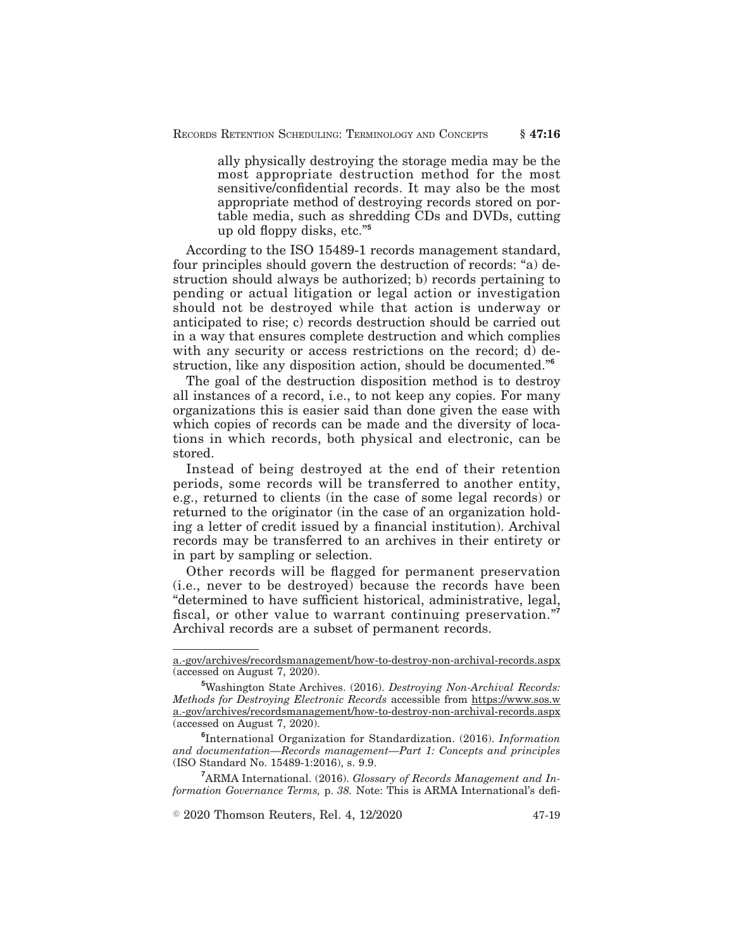ally physically destroying the storage media may be the most appropriate destruction method for the most sensitive/confidential records. It may also be the most appropriate method of destroying records stored on portable media, such as shredding CDs and DVDs, cutting up old floppy disks, etc."**<sup>5</sup>**

According to the ISO 15489-1 records management standard, four principles should govern the destruction of records: "a) destruction should always be authorized; b) records pertaining to pending or actual litigation or legal action or investigation should not be destroyed while that action is underway or anticipated to rise; c) records destruction should be carried out in a way that ensures complete destruction and which complies with any security or access restrictions on the record; d) destruction, like any disposition action, should be documented."**<sup>6</sup>**

The goal of the destruction disposition method is to destroy all instances of a record, i.e., to not keep any copies. For many organizations this is easier said than done given the ease with which copies of records can be made and the diversity of locations in which records, both physical and electronic, can be stored.

Instead of being destroyed at the end of their retention periods, some records will be transferred to another entity, e.g., returned to clients (in the case of some legal records) or returned to the originator (in the case of an organization holding a letter of credit issued by a financial institution). Archival records may be transferred to an archives in their entirety or in part by sampling or selection.

Other records will be flagged for permanent preservation (i.e., never to be destroyed) because the records have been "determined to have sufficient historical, administrative, legal, fiscal, or other value to warrant continuing preservation."**<sup>7</sup>** Archival records are a subset of permanent records.

**<sup>7</sup>**ARMA International. (2016). *Glossary of Records Management and Information Governance Terms,* p. *38.* Note: This is ARMA International's defi-

 $\textdegree$  2020 Thomson Reuters, Rel. 4, 12/2020  $\textdegree$  47-19

a.-gov/archives/recordsmanagement/how-to-destroy-non-archival-records.aspx (accessed on August 7, 2020).

**<sup>5</sup>**Washington State Archives. (2016). *Destroying Non-Archival Records: Methods for Destroying Electronic Records* accessible from https://www.sos.w a.-gov/archives/recordsmanagement/how-to-destroy-non-archival-records.aspx (accessed on August 7, 2020).

**<sup>6</sup>** International Organization for Standardization. (2016). *Information and documentation—Records management—Part 1: Concepts and principles* (ISO Standard No. 15489-1:2016), s. 9.9.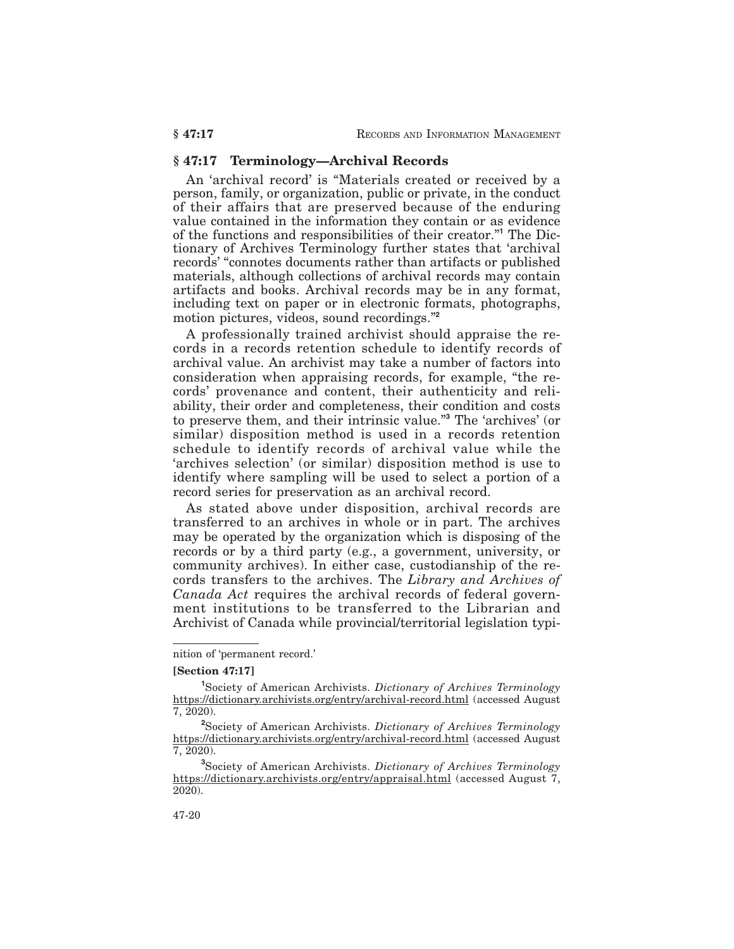#### **§ 47:17 Terminology—Archival Records**

An 'archival record' is "Materials created or received by a person, family, or organization, public or private, in the conduct of their affairs that are preserved because of the enduring value contained in the information they contain or as evidence of the functions and responsibilities of their creator."**<sup>1</sup>** The Dictionary of Archives Terminology further states that 'archival records' "connotes documents rather than artifacts or published materials, although collections of archival records may contain artifacts and books. Archival records may be in any format, including text on paper or in electronic formats, photographs, motion pictures, videos, sound recordings."**<sup>2</sup>**

A professionally trained archivist should appraise the records in a records retention schedule to identify records of archival value. An archivist may take a number of factors into consideration when appraising records, for example, "the records' provenance and content, their authenticity and reliability, their order and completeness, their condition and costs to preserve them, and their intrinsic value."**<sup>3</sup>** The 'archives' (or similar) disposition method is used in a records retention schedule to identify records of archival value while the 'archives selection' (or similar) disposition method is use to identify where sampling will be used to select a portion of a record series for preservation as an archival record.

As stated above under disposition, archival records are transferred to an archives in whole or in part. The archives may be operated by the organization which is disposing of the records or by a third party (e.g., a government, university, or community archives). In either case, custodianship of the records transfers to the archives. The *Library and Archives of Canada Act* requires the archival records of federal government institutions to be transferred to the Librarian and Archivist of Canada while provincial/territorial legislation typi-

nition of 'permanent record.'

**<sup>[</sup>Section 47:17]**

**<sup>1</sup>** Society of American Archivists. *Dictionary of Archives Terminology* https://dictionary.archivists.org/entry/archival-record.html (accessed August 7, 2020).

**<sup>2</sup>** Society of American Archivists. *Dictionary of Archives Terminology* https://dictionary.archivists.org/entry/archival-record.html (accessed August 7, 2020).

**<sup>3</sup>** Society of American Archivists. *Dictionary of Archives Terminology* https://dictionary.archivists.org/entry/appraisal.html (accessed August 7, 2020).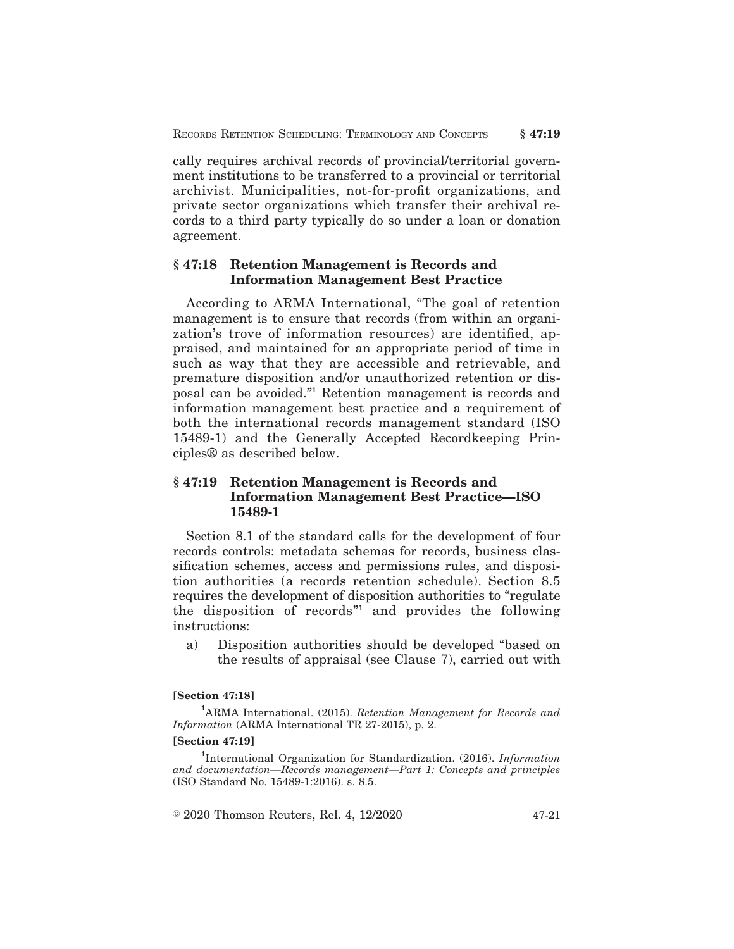cally requires archival records of provincial/territorial government institutions to be transferred to a provincial or territorial archivist. Municipalities, not-for-profit organizations, and private sector organizations which transfer their archival records to a third party typically do so under a loan or donation agreement.

## **§ 47:18 Retention Management is Records and Information Management Best Practice**

According to ARMA International, "The goal of retention management is to ensure that records (from within an organization's trove of information resources) are identified, appraised, and maintained for an appropriate period of time in such as way that they are accessible and retrievable, and premature disposition and/or unauthorized retention or disposal can be avoided."**<sup>1</sup>** Retention management is records and information management best practice and a requirement of both the international records management standard (ISO 15489-1) and the Generally Accepted Recordkeeping Principles® as described below.

## **§ 47:19 Retention Management is Records and Information Management Best Practice—ISO 15489-1**

Section 8.1 of the standard calls for the development of four records controls: metadata schemas for records, business classification schemes, access and permissions rules, and disposition authorities (a records retention schedule). Section 8.5 requires the development of disposition authorities to "regulate the disposition of records"**<sup>1</sup>** and provides the following instructions:

a) Disposition authorities should be developed "based on the results of appraisal (see Clause 7), carried out with

#### **[Section 47:18]**

#### **[Section 47:19]**

 $\textcircled{2020}$  Thomson Reuters, Rel. 4, 12/2020  $\textcircled{47-21}$ 

**<sup>1</sup>**ARMA International. (2015). *Retention Management for Records and Information* (ARMA International TR 27-2015), p. 2.

**<sup>1</sup>** International Organization for Standardization. (2016). *Information and documentation—Records management—Part 1: Concepts and principles* (ISO Standard No. 15489-1:2016). s. 8.5.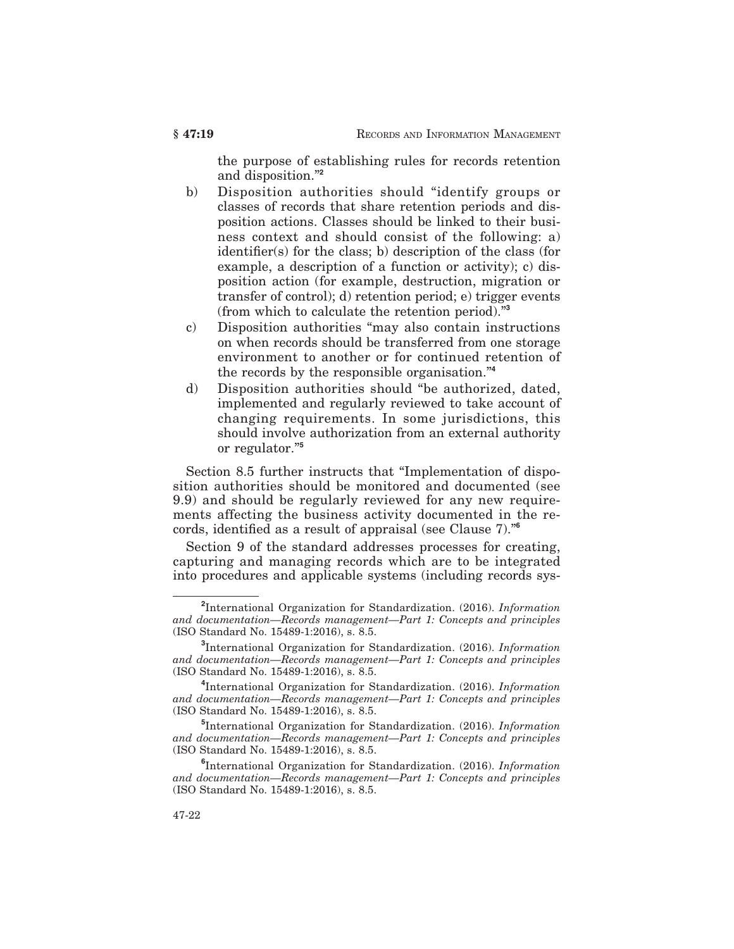the purpose of establishing rules for records retention and disposition."**<sup>2</sup>**

- b) Disposition authorities should "identify groups or classes of records that share retention periods and disposition actions. Classes should be linked to their business context and should consist of the following: a) identifier(s) for the class; b) description of the class (for example, a description of a function or activity); c) disposition action (for example, destruction, migration or transfer of control); d) retention period; e) trigger events (from which to calculate the retention period)."**<sup>3</sup>**
- c) Disposition authorities "may also contain instructions on when records should be transferred from one storage environment to another or for continued retention of the records by the responsible organisation."**<sup>4</sup>**
- d) Disposition authorities should "be authorized, dated, implemented and regularly reviewed to take account of changing requirements. In some jurisdictions, this should involve authorization from an external authority or regulator."**<sup>5</sup>**

Section 8.5 further instructs that "Implementation of disposition authorities should be monitored and documented (see 9.9) and should be regularly reviewed for any new requirements affecting the business activity documented in the records, identified as a result of appraisal (see Clause 7)."**<sup>6</sup>**

Section 9 of the standard addresses processes for creating, capturing and managing records which are to be integrated into procedures and applicable systems (including records sys-

**<sup>2</sup>** International Organization for Standardization. (2016). *Information and documentation—Records management—Part 1: Concepts and principles* (ISO Standard No. 15489-1:2016), s. 8.5.

**<sup>3</sup>** International Organization for Standardization. (2016). *Information and documentation—Records management—Part 1: Concepts and principles* (ISO Standard No. 15489-1:2016), s. 8.5.

**<sup>4</sup>** International Organization for Standardization. (2016). *Information and documentation—Records management—Part 1: Concepts and principles* (ISO Standard No. 15489-1:2016), s. 8.5.

**<sup>5</sup>** International Organization for Standardization. (2016). *Information and documentation—Records management—Part 1: Concepts and principles* (ISO Standard No. 15489-1:2016), s. 8.5.

**<sup>6</sup>** International Organization for Standardization. (2016). *Information and documentation—Records management—Part 1: Concepts and principles* (ISO Standard No. 15489-1:2016), s. 8.5.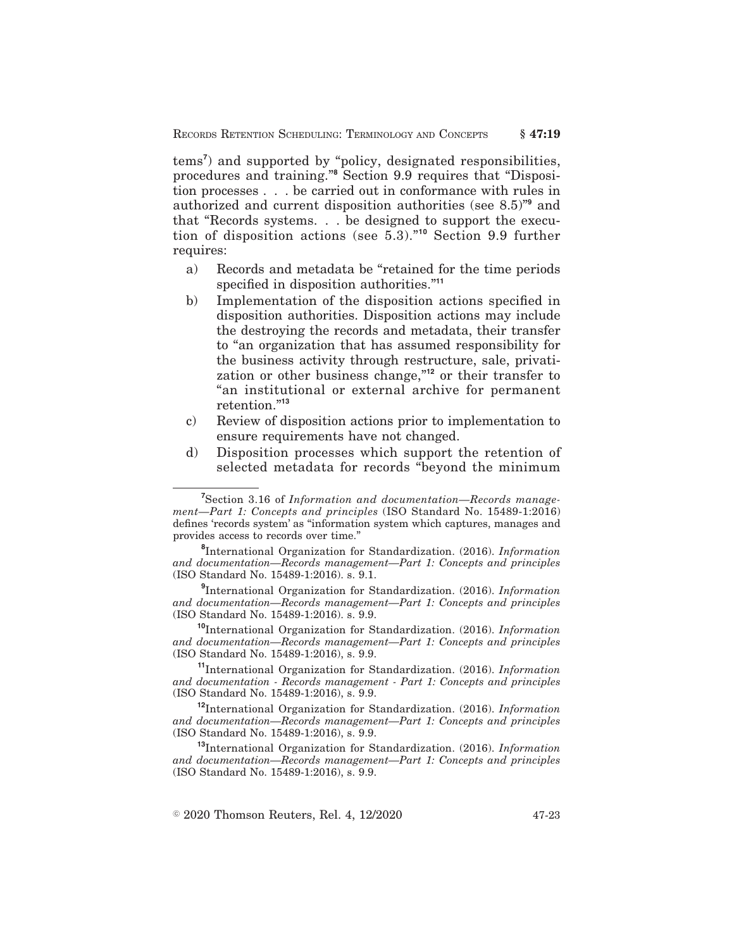tems**<sup>7</sup>** ) and supported by "policy, designated responsibilities, procedures and training."**<sup>8</sup>** Section 9.9 requires that "Disposition processes . . . be carried out in conformance with rules in authorized and current disposition authorities (see 8.5)"**<sup>9</sup>** and that "Records systems. . . be designed to support the execution of disposition actions (see 5.3)."**<sup>10</sup>** Section 9.9 further requires:

- a) Records and metadata be "retained for the time periods specified in disposition authorities."**<sup>11</sup>**
- b) Implementation of the disposition actions specified in disposition authorities. Disposition actions may include the destroying the records and metadata, their transfer to "an organization that has assumed responsibility for the business activity through restructure, sale, privatization or other business change,"**<sup>12</sup>** or their transfer to "an institutional or external archive for permanent retention."**<sup>13</sup>**
- c) Review of disposition actions prior to implementation to ensure requirements have not changed.
- d) Disposition processes which support the retention of selected metadata for records "beyond the minimum

**9** International Organization for Standardization. (2016). *Information and documentation—Records management—Part 1: Concepts and principles* (ISO Standard No. 15489-1:2016). s. 9.9.

**<sup>10</sup>**International Organization for Standardization. (2016). *Information and documentation—Records management—Part 1: Concepts and principles* (ISO Standard No. 15489-1:2016), s. 9.9.

**<sup>11</sup>**International Organization for Standardization. (2016). *Information and documentation - Records management - Part 1: Concepts and principles* (ISO Standard No. 15489-1:2016), s. 9.9.

**<sup>12</sup>**International Organization for Standardization. (2016). *Information and documentation—Records management—Part 1: Concepts and principles* (ISO Standard No. 15489-1:2016), s. 9.9.

**<sup>13</sup>**International Organization for Standardization. (2016). *Information and documentation—Records management—Part 1: Concepts and principles* (ISO Standard No. 15489-1:2016), s. 9.9.

**<sup>7</sup>** Section 3.16 of *Information and documentation—Records management—Part 1: Concepts and principles* (ISO Standard No. 15489-1:2016) defines 'records system' as "information system which captures, manages and provides access to records over time."

**<sup>8</sup>** International Organization for Standardization. (2016). *Information and documentation—Records management—Part 1: Concepts and principles* (ISO Standard No. 15489-1:2016). s. 9.1.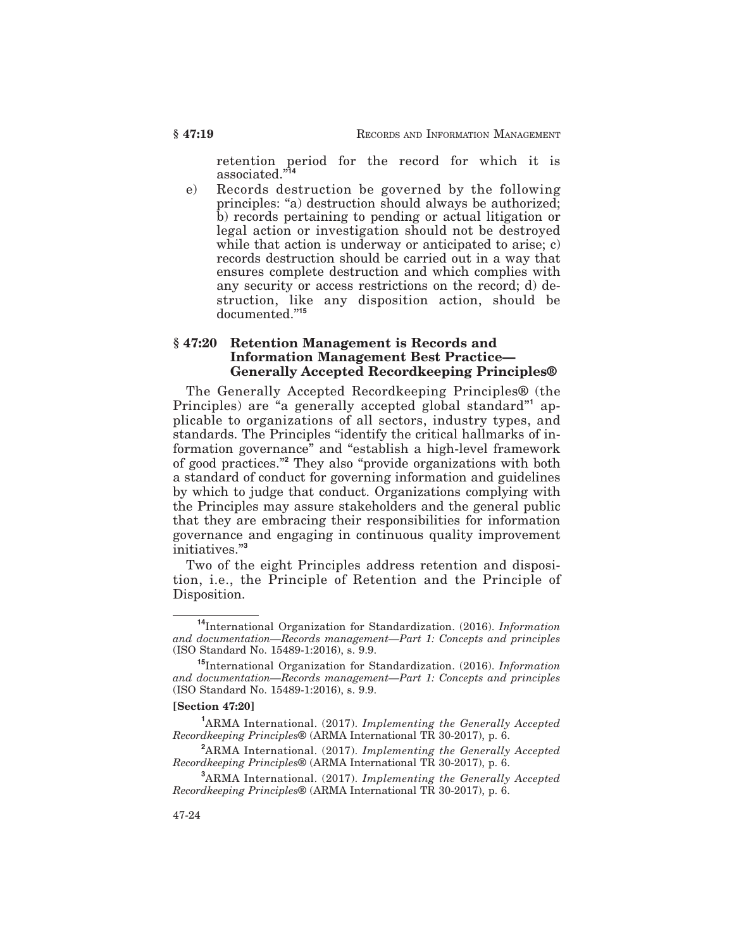retention period for the record for which it is associated."**<sup>14</sup>**

e) Records destruction be governed by the following principles: "a) destruction should always be authorized; b) records pertaining to pending or actual litigation or legal action or investigation should not be destroyed while that action is underway or anticipated to arise; c) records destruction should be carried out in a way that ensures complete destruction and which complies with any security or access restrictions on the record; d) destruction, like any disposition action, should be documented."**<sup>15</sup>**

## **§ 47:20 Retention Management is Records and Information Management Best Practice— Generally Accepted Recordkeeping Principles®**

The Generally Accepted Recordkeeping Principles® (the Principles) are "a generally accepted global standard"**<sup>1</sup>** applicable to organizations of all sectors, industry types, and standards. The Principles "identify the critical hallmarks of information governance" and "establish a high-level framework of good practices."**<sup>2</sup>** They also "provide organizations with both a standard of conduct for governing information and guidelines by which to judge that conduct. Organizations complying with the Principles may assure stakeholders and the general public that they are embracing their responsibilities for information governance and engaging in continuous quality improvement initiatives."**<sup>3</sup>**

Two of the eight Principles address retention and disposition, i.e., the Principle of Retention and the Principle of Disposition.

#### **[Section 47:20]**

**<sup>14</sup>**International Organization for Standardization. (2016). *Information and documentation—Records management—Part 1: Concepts and principles* (ISO Standard No. 15489-1:2016), s. 9.9.

**<sup>15</sup>**International Organization for Standardization. (2016). *Information and documentation—Records management—Part 1: Concepts and principles* (ISO Standard No. 15489-1:2016), s. 9.9.

**<sup>1</sup>**ARMA International. (2017). *Implementing the Generally Accepted Recordkeeping Principles*® (ARMA International TR 30-2017), p. 6.

**<sup>2</sup>**ARMA International. (2017). *Implementing the Generally Accepted Recordkeeping Principles*® (ARMA International TR 30-2017), p. 6.

**<sup>3</sup>**ARMA International. (2017). *Implementing the Generally Accepted Recordkeeping Principles*® (ARMA International TR 30-2017), p. 6.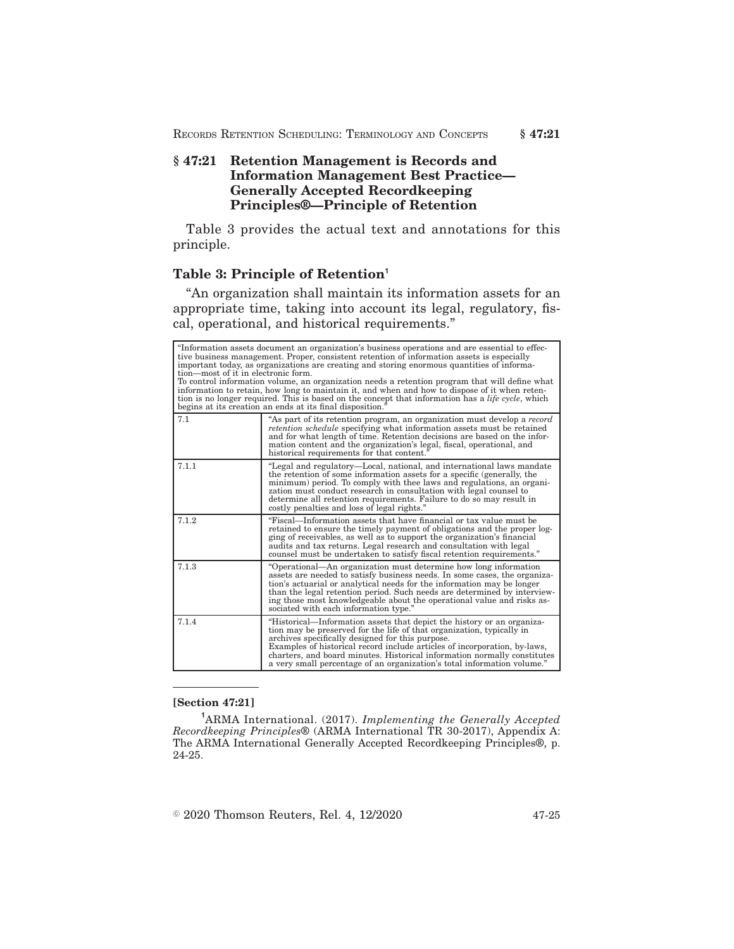## **§ 47:21 Retention Management is Records and Information Management Best Practice— Generally Accepted Recordkeeping Principles®—Principle of Retention**

Table 3 provides the actual text and annotations for this principle.

## **Table 3: Principle of Retention<sup>1</sup>**

"An organization shall maintain its information assets for an appropriate time, taking into account its legal, regulatory, fiscal, operational, and historical requirements."

| "Information assets document an organization's business operations and are essential to effec-<br>tive business management. Proper, consistent retention of information assets is especially<br>important today, as organizations are creating and storing enormous quantities of informa-<br>tion—most of it in electronic form.<br>To control information volume, an organization needs a retention program that will define what<br>information to retain, how long to maintain it, and when and how to dispose of it when reten-<br>tion is no longer required. This is based on the concept that information has a <i>life cycle</i> , which<br>begins at its creation an ends at its final disposition. |                                                                                                                                                                                                                                                                                                                                                                                                                                         |
|---------------------------------------------------------------------------------------------------------------------------------------------------------------------------------------------------------------------------------------------------------------------------------------------------------------------------------------------------------------------------------------------------------------------------------------------------------------------------------------------------------------------------------------------------------------------------------------------------------------------------------------------------------------------------------------------------------------|-----------------------------------------------------------------------------------------------------------------------------------------------------------------------------------------------------------------------------------------------------------------------------------------------------------------------------------------------------------------------------------------------------------------------------------------|
| 7.1                                                                                                                                                                                                                                                                                                                                                                                                                                                                                                                                                                                                                                                                                                           | "As part of its retention program, an organization must develop a record<br><i>retention schedule</i> specifying what information assets must be retained<br>and for what length of time. Retention decisions are based on the infor-<br>mation content and the organization's legal, fiscal, operational, and<br>historical requirements for that content."                                                                            |
| 7.1.1                                                                                                                                                                                                                                                                                                                                                                                                                                                                                                                                                                                                                                                                                                         | "Legal and regulatory—Local, national, and international laws mandate<br>the retention of some information assets for a specific (generally, the<br>minimum) period. To comply with thee laws and regulations, an organi-<br>zation must conduct research in consultation with legal counsel to<br>determine all retention requirements. Failure to do so may result in<br>costly penalties and loss of legal rights."                  |
| 7.1.2                                                                                                                                                                                                                                                                                                                                                                                                                                                                                                                                                                                                                                                                                                         | "Fiscal—Information assets that have financial or tax value must be<br>retained to ensure the timely payment of obligations and the proper log-<br>ging of receivables, as well as to support the organization's financial<br>audits and tax returns. Legal research and consultation with legal<br>counsel must be undertaken to satisfy fiscal retention requirements."                                                               |
| 7.1.3                                                                                                                                                                                                                                                                                                                                                                                                                                                                                                                                                                                                                                                                                                         | "Operational—An organization must determine how long information<br>assets are needed to satisfy business needs. In some cases, the organiza-<br>tion's actuarial or analytical needs for the information may be longer<br>than the legal retention period. Such needs are determined by interview-<br>ing those most knowledgeable about the operational value and risks as-<br>sociated with each information type."                  |
| 7.1.4                                                                                                                                                                                                                                                                                                                                                                                                                                                                                                                                                                                                                                                                                                         | "Historical—Information assets that depict the history or an organiza-<br>tion may be preserved for the life of that organization, typically in<br>archives specifically designed for this purpose.<br>Examples of historical record include articles of incorporation, by-laws,<br>charters, and board minutes. Historical information normally constitutes<br>a very small percentage of an organization's total information volume." |

#### **[Section 47:21]**

**<sup>1</sup>**ARMA International. (2017). *Implementing the Generally Accepted Recordkeeping Principles*® (ARMA International TR 30-2017), Appendix A: The ARMA International Generally Accepted Recordkeeping Principles®, p. 24-25.

 $\degree$  2020 Thomson Reuters, Rel. 4, 12/2020 47-25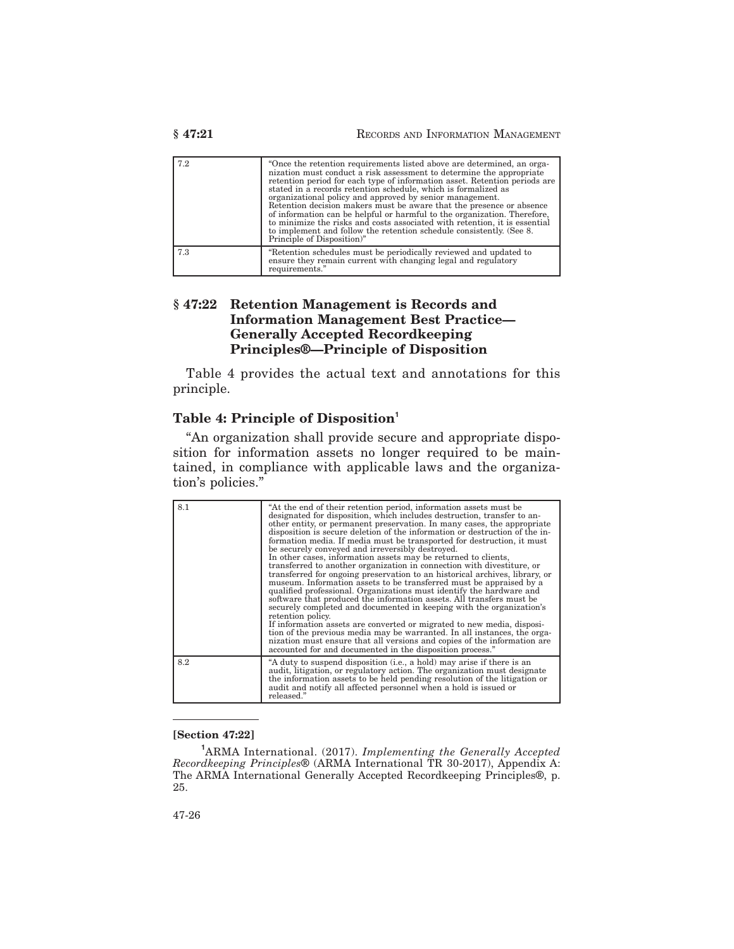| 7.2 | "Once the retention requirements listed above are determined, an orga-<br>nization must conduct a risk assessment to determine the appropriate<br>retention period for each type of information asset. Retention periods are<br>stated in a records retention schedule, which is formalized as<br>organizational policy and approved by senior management.<br>Retention decision makers must be aware that the presence or absence<br>of information can be helpful or harmful to the organization. Therefore,<br>to minimize the risks and costs associated with retention, it is essential<br>to implement and follow the retention schedule consistently. (See 8.<br>Principle of Disposition)" |
|-----|----------------------------------------------------------------------------------------------------------------------------------------------------------------------------------------------------------------------------------------------------------------------------------------------------------------------------------------------------------------------------------------------------------------------------------------------------------------------------------------------------------------------------------------------------------------------------------------------------------------------------------------------------------------------------------------------------|
| 7.3 | "Retention schedules must be periodically reviewed and updated to<br>ensure they remain current with changing legal and regulatory<br>requirements."                                                                                                                                                                                                                                                                                                                                                                                                                                                                                                                                               |

## **§ 47:22 Retention Management is Records and Information Management Best Practice— Generally Accepted Recordkeeping Principles®—Principle of Disposition**

Table 4 provides the actual text and annotations for this principle.

## **Table 4: Principle of Disposition<sup>1</sup>**

"An organization shall provide secure and appropriate disposition for information assets no longer required to be maintained, in compliance with applicable laws and the organization's policies."

| 8.1 | "At the end of their retention period, information assets must be<br>designated for disposition, which includes destruction, transfer to an-<br>other entity, or permanent preservation. In many cases, the appropriate<br>disposition is secure deletion of the information or destruction of the in-<br>formation media. If media must be transported for destruction, it must<br>be securely conveyed and irreversibly destroyed.<br>In other cases, information assets may be returned to clients,<br>transferred to another organization in connection with divestiture, or<br>transferred for ongoing preservation to an historical archives, library, or<br>museum. Information assets to be transferred must be appraised by a<br>qualified professional. Organizations must identify the hardware and<br>software that produced the information assets. All transfers must be<br>securely completed and documented in keeping with the organization's<br>retention policy.<br>If information assets are converted or migrated to new media, disposi-<br>tion of the previous media may be warranted. In all instances, the orga-<br>nization must ensure that all versions and copies of the information are<br>accounted for and documented in the disposition process." |
|-----|------------------------------------------------------------------------------------------------------------------------------------------------------------------------------------------------------------------------------------------------------------------------------------------------------------------------------------------------------------------------------------------------------------------------------------------------------------------------------------------------------------------------------------------------------------------------------------------------------------------------------------------------------------------------------------------------------------------------------------------------------------------------------------------------------------------------------------------------------------------------------------------------------------------------------------------------------------------------------------------------------------------------------------------------------------------------------------------------------------------------------------------------------------------------------------------------------------------------------------------------------------------------------------|
| 8.2 | "A duty to suspend disposition (i.e., a hold) may arise if there is an<br>audit, litigation, or regulatory action. The organization must designate<br>the information assets to be held pending resolution of the litigation or<br>audit and notify all affected personnel when a hold is issued or<br>released."                                                                                                                                                                                                                                                                                                                                                                                                                                                                                                                                                                                                                                                                                                                                                                                                                                                                                                                                                                  |

#### **[Section 47:22]**

**<sup>1</sup>**ARMA International. (2017). *Implementing the Generally Accepted Recordkeeping Principles*® (ARMA International TR 30-2017), Appendix A: The ARMA International Generally Accepted Recordkeeping Principles®, p. 25.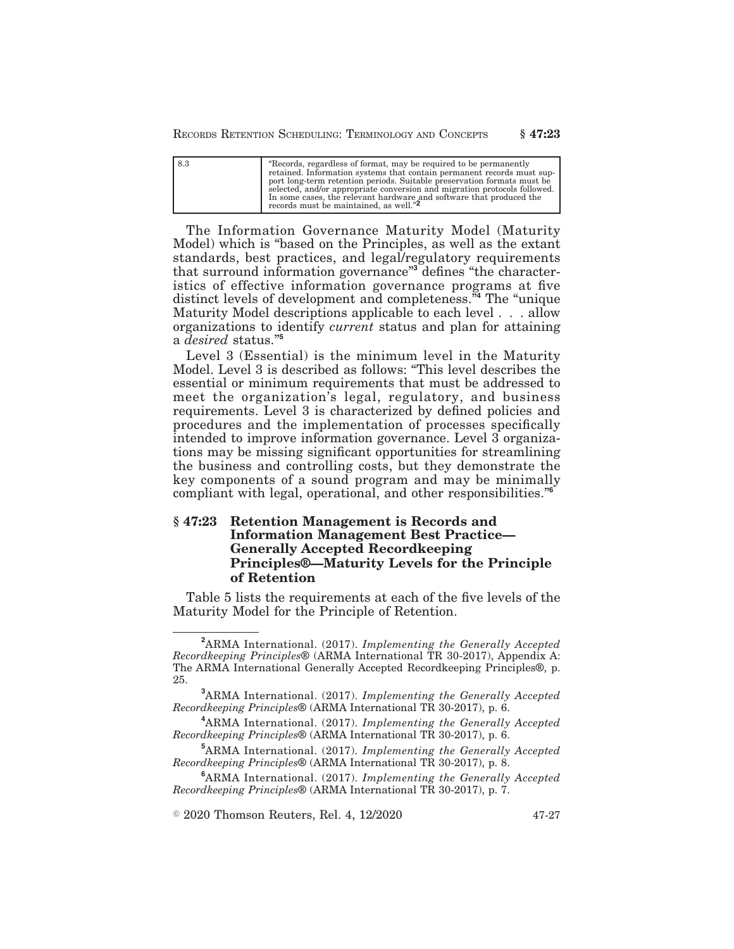RECORDS RETENTION SCHEDULING: TERMINOLOGY AND CONCEPTS **§ 47:23**

| 8.3 | "Records, regardless of format, may be required to be permanently<br>retained. Information systems that contain permanent records must sup-<br>port long-term retention periods. Suitable preservation formats must be<br>selected, and/or appropriate conversion and migration protocols followed. |
|-----|-----------------------------------------------------------------------------------------------------------------------------------------------------------------------------------------------------------------------------------------------------------------------------------------------------|
|     | In some cases, the relevant hardware and software that produced the<br>records must be maintained, as well." <sup>2</sup>                                                                                                                                                                           |

The Information Governance Maturity Model (Maturity Model) which is "based on the Principles, as well as the extant standards, best practices, and legal/regulatory requirements that surround information governance"**<sup>3</sup>** defines "the characteristics of effective information governance programs at five distinct levels of development and completeness."**<sup>4</sup>** The "unique Maturity Model descriptions applicable to each level . . . allow organizations to identify *current* status and plan for attaining a *desired* status."**<sup>5</sup>**

Level 3 (Essential) is the minimum level in the Maturity Model. Level 3 is described as follows: "This level describes the essential or minimum requirements that must be addressed to meet the organization's legal, regulatory, and business requirements. Level 3 is characterized by defined policies and procedures and the implementation of processes specifically intended to improve information governance. Level 3 organizations may be missing significant opportunities for streamlining the business and controlling costs, but they demonstrate the key components of a sound program and may be minimally compliant with legal, operational, and other responsibilities."**<sup>6</sup>**

## **§ 47:23 Retention Management is Records and Information Management Best Practice— Generally Accepted Recordkeeping Principles®—Maturity Levels for the Principle of Retention**

Table 5 lists the requirements at each of the five levels of the Maturity Model for the Principle of Retention.

 $\textcircled{2020}$  Thomson Reuters, Rel. 4, 12/2020  $\textcircled{47-27}$ 

**<sup>2</sup>**ARMA International. (2017). *Implementing the Generally Accepted Recordkeeping Principles*® (ARMA International TR 30-2017), Appendix A: The ARMA International Generally Accepted Recordkeeping Principles®, p. 25.

**<sup>3</sup>**ARMA International. (2017). *Implementing the Generally Accepted Recordkeeping Principles*® (ARMA International TR 30-2017), p. 6.

**<sup>4</sup>**ARMA International. (2017). *Implementing the Generally Accepted Recordkeeping Principles*® (ARMA International TR 30-2017), p. 6.

**<sup>5</sup>**ARMA International. (2017). *Implementing the Generally Accepted Recordkeeping Principles*® (ARMA International TR 30-2017), p. 8.

**<sup>6</sup>**ARMA International. (2017). *Implementing the Generally Accepted Recordkeeping Principles*® (ARMA International TR 30-2017), p. 7.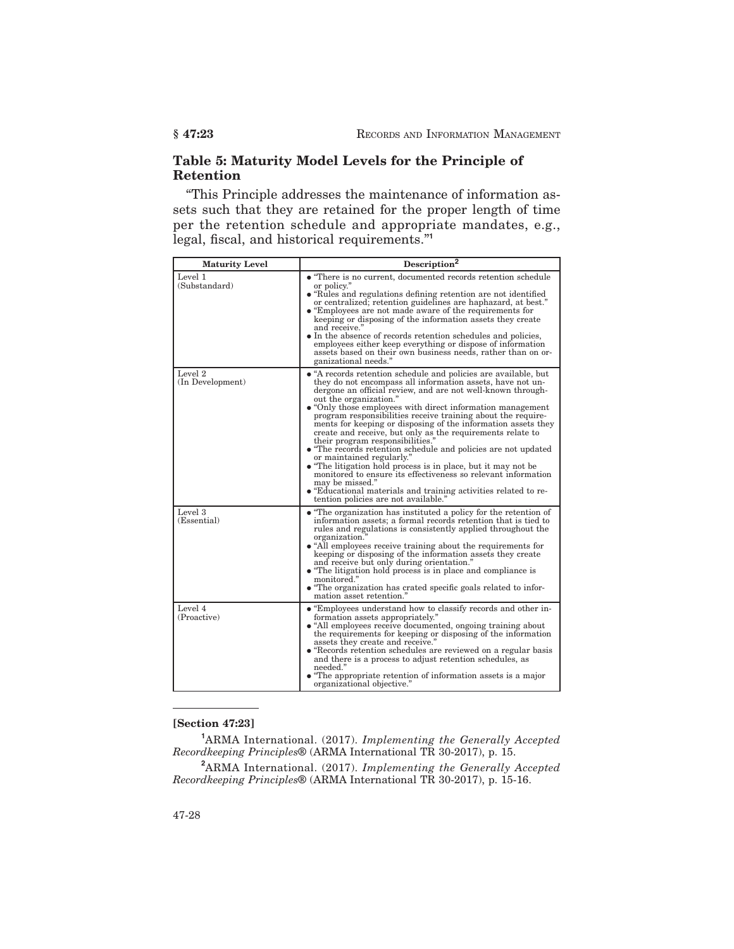## **Table 5: Maturity Model Levels for the Principle of Retention**

"This Principle addresses the maintenance of information assets such that they are retained for the proper length of time per the retention schedule and appropriate mandates, e.g., legal, fiscal, and historical requirements."**<sup>1</sup>**

| <b>Maturity Level</b>       | Description <sup>2</sup>                                                                                                                                                                                                                                                                                                                                                                                                                                                                                                                                                                                                                                                                                                                                                                                                                                                                |
|-----------------------------|-----------------------------------------------------------------------------------------------------------------------------------------------------------------------------------------------------------------------------------------------------------------------------------------------------------------------------------------------------------------------------------------------------------------------------------------------------------------------------------------------------------------------------------------------------------------------------------------------------------------------------------------------------------------------------------------------------------------------------------------------------------------------------------------------------------------------------------------------------------------------------------------|
| Level 1<br>(Substandard)    | • "There is no current, documented records retention schedule<br>or policy."<br>• "Rules and regulations defining retention are not identified<br>or centralized; retention guidelines are haphazard, at best."<br>• "Employees are not made aware of the requirements for<br>keeping or disposing of the information assets they create<br>and receive."<br>• In the absence of records retention schedules and policies,<br>employees either keep everything or dispose of information<br>assets based on their own business needs, rather than on or-<br>ganizational needs."                                                                                                                                                                                                                                                                                                        |
| Level 2<br>(In Development) | • "A records retention schedule and policies are available, but<br>they do not encompass all information assets, have not un-<br>dergone an official review, and are not well-known through-<br>out the organization."<br>• "Only those employees with direct information management"<br>program responsibilities receive training about the require-<br>ments for keeping or disposing of the information assets they<br>create and receive, but only as the requirements relate to<br>their program responsibilities."<br>• "The records retention schedule and policies are not updated<br>or maintained regularly."<br>• "The litigation hold process is in place, but it may not be<br>monitored to ensure its effectiveness so relevant information<br>may be missed."<br>• "Educational materials and training activities related to re-<br>tention policies are not available." |
| Level 3<br>(Essential)      | • "The organization has instituted a policy for the retention of<br>information assets; a formal records retention that is tied to<br>rules and regulations is consistently applied throughout the<br>organization."<br>• "All employees receive training about the requirements for<br>keeping or disposing of the information assets they create<br>and receive but only during orientation."<br>• "The litigation hold process is in place and compliance is<br>monitored."<br>• "The organization has crated specific goals related to infor-<br>mation asset retention."                                                                                                                                                                                                                                                                                                           |
| Level 4<br>(Proactive)      | • "Employees understand how to classify records and other in-<br>formation assets appropriately."<br>• "All employees receive documented, ongoing training about<br>the requirements for keeping or disposing of the information<br>assets they create and receive."<br>• "Records retention schedules are reviewed on a regular basis<br>and there is a process to adjust retention schedules, as<br>needed."<br>• "The appropriate retention of information assets is a major<br>organizational objective."                                                                                                                                                                                                                                                                                                                                                                           |

#### **[Section 47:23]**

**<sup>1</sup>**ARMA International. (2017). *Implementing the Generally Accepted Recordkeeping Principles*® (ARMA International TR 30-2017), p. 15.

**<sup>2</sup>**ARMA International. (2017). *Implementing the Generally Accepted Recordkeeping Principles*® (ARMA International TR 30-2017), p. 15-16.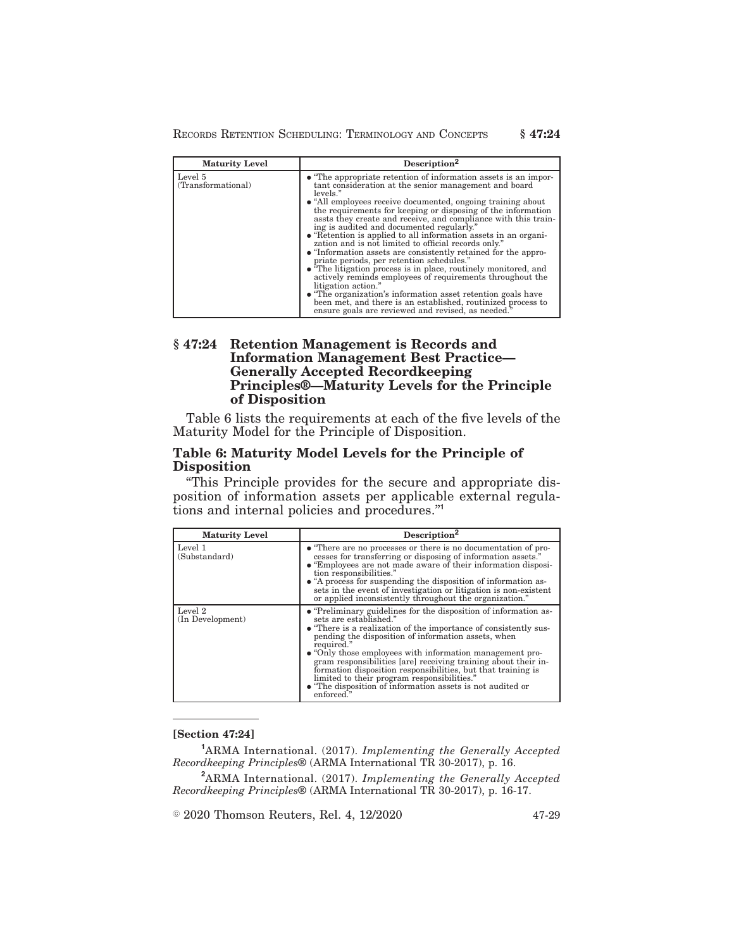RECORDS RETENTION SCHEDULING: TERMINOLOGY AND CONCEPTS **§ 47:24**

| <b>Maturity Level</b>         | Description <sup>2</sup>                                                                                                                                                                                                                                                                                                                                                                                                                                                                                                                                                                                                                                                                                                                                                                                                                                                                                                                                                  |
|-------------------------------|---------------------------------------------------------------------------------------------------------------------------------------------------------------------------------------------------------------------------------------------------------------------------------------------------------------------------------------------------------------------------------------------------------------------------------------------------------------------------------------------------------------------------------------------------------------------------------------------------------------------------------------------------------------------------------------------------------------------------------------------------------------------------------------------------------------------------------------------------------------------------------------------------------------------------------------------------------------------------|
| Level 5<br>(Transformational) | • "The appropriate retention of information assets is an impor-<br>tant consideration at the senior management and board<br>levels."<br>• "All employees receive documented, ongoing training about<br>the requirements for keeping or disposing of the information<br>assts they create and receive, and compliance with this train-<br>ing is audited and documented regularly."<br>• "Retention is applied to all information assets in an organi-<br>zation and is not limited to official records only."<br>• "Information assets are consistently retained for the appro-<br>priate periods, per retention schedules."<br>• "The litigation process is in place, routinely monitored, and<br>actively reminds employees of requirements throughout the<br>litigation action."<br>• "The organization's information asset retention goals have<br>been met, and there is an established, routinized process to<br>ensure goals are reviewed and revised, as needed." |

## **§ 47:24 Retention Management is Records and Information Management Best Practice— Generally Accepted Recordkeeping Principles®—Maturity Levels for the Principle of Disposition**

Table 6 lists the requirements at each of the five levels of the Maturity Model for the Principle of Disposition.

## **Table 6: Maturity Model Levels for the Principle of Disposition**

"This Principle provides for the secure and appropriate disposition of information assets per applicable external regulations and internal policies and procedures."**<sup>1</sup>**

| <b>Maturity Level</b>       | Description <sup>2</sup>                                                                                                                                                                                                                                                                                                                                                                                                                                                                                                                                     |
|-----------------------------|--------------------------------------------------------------------------------------------------------------------------------------------------------------------------------------------------------------------------------------------------------------------------------------------------------------------------------------------------------------------------------------------------------------------------------------------------------------------------------------------------------------------------------------------------------------|
| Level 1<br>(Substandard)    | • "There are no processes or there is no documentation of pro-<br>cesses for transferring or disposing of information assets."<br>• "Employees are not made aware of their information disposi-<br>tion responsibilities."<br>• "A process for suspending the disposition of information as-<br>sets in the event of investigation or litigation is non-existent<br>or applied inconsistently throughout the organization."                                                                                                                                  |
| Level 2<br>(In Development) | • "Preliminary guidelines for the disposition of information as-<br>sets are established."<br>• "There is a realization of the importance of consistently sus-<br>pending the disposition of information assets, when<br>required."<br>• "Only those employees with information management pro-<br>gram responsibilities [are] receiving training about their in-<br>formation disposition responsibilities, but that training is<br>limited to their program responsibilities."<br>• "The disposition of information assets is not audited or<br>enforced." |

#### **[Section 47:24]**

**<sup>1</sup>**ARMA International. (2017). *Implementing the Generally Accepted Recordkeeping Principles*® (ARMA International TR 30-2017), p. 16.

**<sup>2</sup>**ARMA International. (2017). *Implementing the Generally Accepted Recordkeeping Principles*® (ARMA International TR 30-2017), p. 16-17.

© 2020 Thomson Reuters, Rel. 4, 12/2020 47-29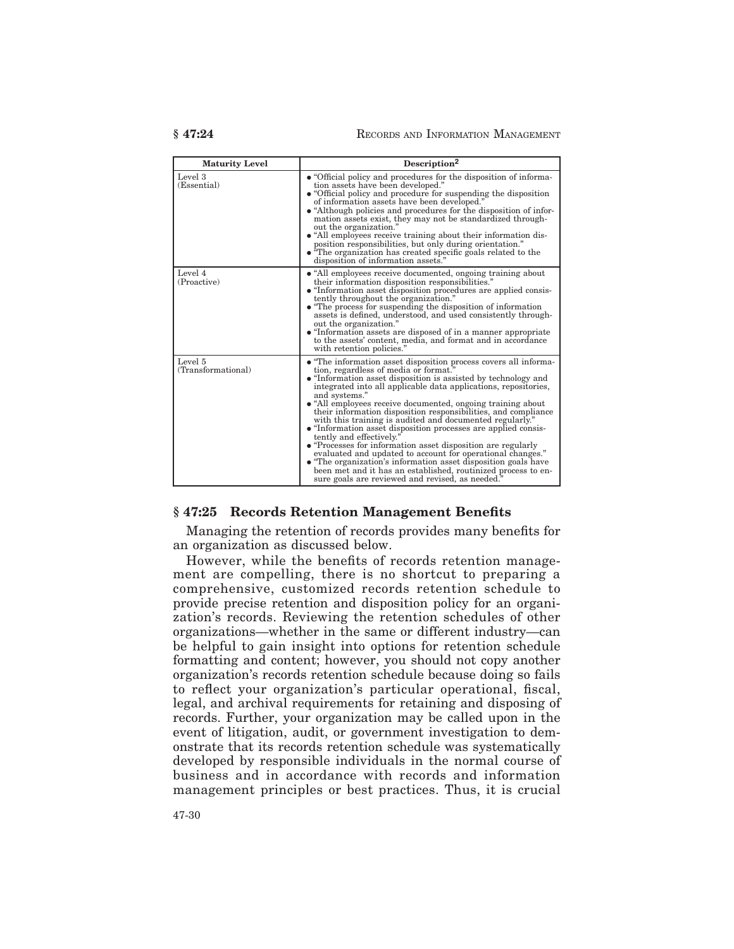| <b>Maturity Level</b>         | Description <sup>2</sup>                                                                                                                                                                                                                                                                                                                                                                                                                                                                                                                                                                                                                                                                                                                                                                                                                                                        |
|-------------------------------|---------------------------------------------------------------------------------------------------------------------------------------------------------------------------------------------------------------------------------------------------------------------------------------------------------------------------------------------------------------------------------------------------------------------------------------------------------------------------------------------------------------------------------------------------------------------------------------------------------------------------------------------------------------------------------------------------------------------------------------------------------------------------------------------------------------------------------------------------------------------------------|
| Level 3<br>(Essential)        | • "Official policy and procedures for the disposition of informa-<br>tion assets have been developed."<br>• "Official policy and procedure for suspending the disposition<br>of information assets have been developed."<br>• "Although policies and procedures for the disposition of infor-<br>mation assets exist, they may not be standardized through-<br>out the organization."<br>• "All employees receive training about their information dis-<br>position responsibilities, but only during orientation."<br>$\bullet$ "The organization has created specific goals related to the<br>disposition of information assets."                                                                                                                                                                                                                                             |
| Level 4<br>(Proactive)        | • "All employees receive documented, ongoing training about<br>their information disposition responsibilities."<br>• "Information asset disposition procedures are applied consis-<br>tently throughout the organization."<br>• "The process for suspending the disposition of information"<br>assets is defined, understood, and used consistently through-<br>out the organization."<br>• "Information assets are disposed of in a manner appropriate"<br>to the assets' content, media, and format and in accordance<br>with retention policies."                                                                                                                                                                                                                                                                                                                            |
| Level 5<br>(Transformational) | • "The information asset disposition process covers all informa-<br>tion, regardless of media or format."<br>• "Information asset disposition is assisted by technology and<br>integrated into all applicable data applications, repositories,<br>and systems."<br>• "All employees receive documented, ongoing training about<br>their information disposition responsibilities, and compliance<br>with this training is audited and documented regularly."<br>• "Information asset disposition processes are applied consis-<br>tently and effectively."<br>• "Processes for information asset disposition are regularly<br>evaluated and updated to account for operational changes."<br>• "The organization's information asset disposition goals have<br>been met and it has an established, routinized process to en-<br>sure goals are reviewed and revised, as needed." |

#### **§ 47:25 Records Retention Management Benefits**

Managing the retention of records provides many benefits for an organization as discussed below.

However, while the benefits of records retention management are compelling, there is no shortcut to preparing a comprehensive, customized records retention schedule to provide precise retention and disposition policy for an organization's records. Reviewing the retention schedules of other organizations—whether in the same or different industry—can be helpful to gain insight into options for retention schedule formatting and content; however, you should not copy another organization's records retention schedule because doing so fails to reflect your organization's particular operational, fiscal, legal, and archival requirements for retaining and disposing of records. Further, your organization may be called upon in the event of litigation, audit, or government investigation to demonstrate that its records retention schedule was systematically developed by responsible individuals in the normal course of business and in accordance with records and information management principles or best practices. Thus, it is crucial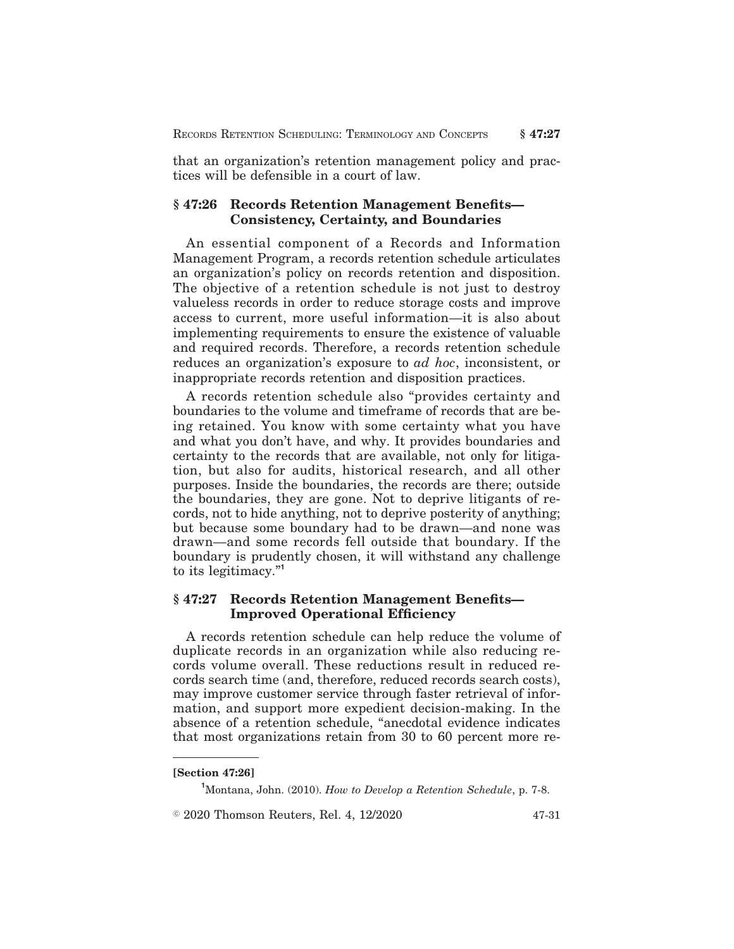that an organization's retention management policy and practices will be defensible in a court of law.

## **§ 47:26 Records Retention Management Benefits— Consistency, Certainty, and Boundaries**

An essential component of a Records and Information Management Program, a records retention schedule articulates an organization's policy on records retention and disposition. The objective of a retention schedule is not just to destroy valueless records in order to reduce storage costs and improve access to current, more useful information—it is also about implementing requirements to ensure the existence of valuable and required records. Therefore, a records retention schedule reduces an organization's exposure to *ad hoc*, inconsistent, or inappropriate records retention and disposition practices.

A records retention schedule also "provides certainty and boundaries to the volume and timeframe of records that are being retained. You know with some certainty what you have and what you don't have, and why. It provides boundaries and certainty to the records that are available, not only for litigation, but also for audits, historical research, and all other purposes. Inside the boundaries, the records are there; outside the boundaries, they are gone. Not to deprive litigants of records, not to hide anything, not to deprive posterity of anything; but because some boundary had to be drawn—and none was drawn—and some records fell outside that boundary. If the boundary is prudently chosen, it will withstand any challenge to its legitimacy."**<sup>1</sup>**

## **§ 47:27 Records Retention Management Benefits— Improved Operational Efficiency**

A records retention schedule can help reduce the volume of duplicate records in an organization while also reducing records volume overall. These reductions result in reduced records search time (and, therefore, reduced records search costs), may improve customer service through faster retrieval of information, and support more expedient decision-making. In the absence of a retention schedule, "anecdotal evidence indicates that most organizations retain from 30 to 60 percent more re-

**<sup>[</sup>Section 47:26]**

**<sup>1</sup>**Montana, John. (2010). *How to Develop a Retention Schedule*, p. 7-8.

 $\textcircled{2020}$  Thomson Reuters, Rel. 4, 12/2020  $\textcircled{47-31}$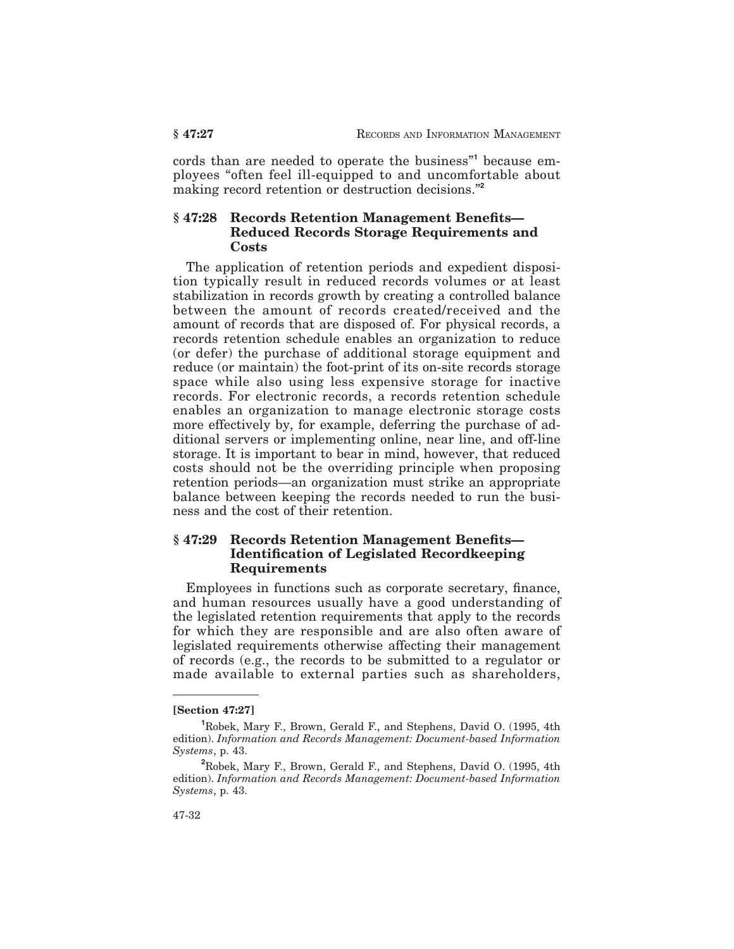cords than are needed to operate the business"**<sup>1</sup>** because employees "often feel ill-equipped to and uncomfortable about making record retention or destruction decisions."**<sup>2</sup>**

## **§ 47:28 Records Retention Management Benefits— Reduced Records Storage Requirements and Costs**

The application of retention periods and expedient disposition typically result in reduced records volumes or at least stabilization in records growth by creating a controlled balance between the amount of records created/received and the amount of records that are disposed of. For physical records, a records retention schedule enables an organization to reduce (or defer) the purchase of additional storage equipment and reduce (or maintain) the foot-print of its on-site records storage space while also using less expensive storage for inactive records. For electronic records, a records retention schedule enables an organization to manage electronic storage costs more effectively by, for example, deferring the purchase of additional servers or implementing online, near line, and off-line storage. It is important to bear in mind, however, that reduced costs should not be the overriding principle when proposing retention periods—an organization must strike an appropriate balance between keeping the records needed to run the business and the cost of their retention.

## **§ 47:29 Records Retention Management Benefits— Identification of Legislated Recordkeeping Requirements**

Employees in functions such as corporate secretary, finance, and human resources usually have a good understanding of the legislated retention requirements that apply to the records for which they are responsible and are also often aware of legislated requirements otherwise affecting their management of records (e.g., the records to be submitted to a regulator or made available to external parties such as shareholders,

**<sup>[</sup>Section 47:27]**

**<sup>1</sup>**Robek, Mary F., Brown, Gerald F., and Stephens, David O. (1995, 4th edition). *Information and Records Management: Document-based Information Systems*, p. 43.

**<sup>2</sup>**Robek, Mary F., Brown, Gerald F., and Stephens, David O. (1995, 4th edition). *Information and Records Management: Document-based Information Systems*, p. 43.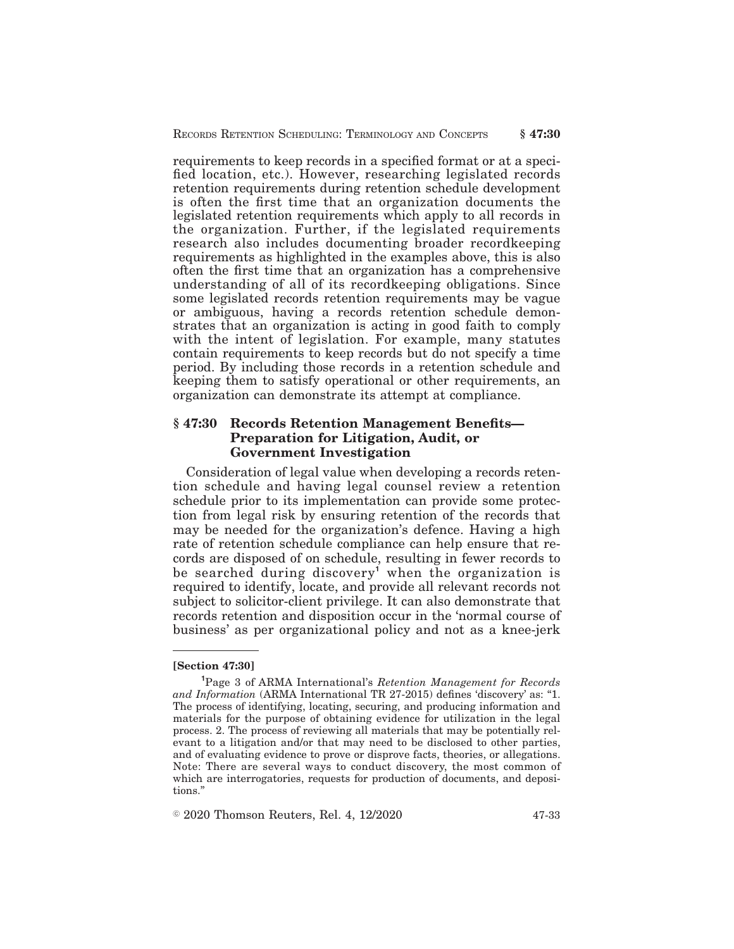requirements to keep records in a specified format or at a specified location, etc.). However, researching legislated records retention requirements during retention schedule development is often the first time that an organization documents the legislated retention requirements which apply to all records in the organization. Further, if the legislated requirements research also includes documenting broader recordkeeping requirements as highlighted in the examples above, this is also often the first time that an organization has a comprehensive understanding of all of its recordkeeping obligations. Since some legislated records retention requirements may be vague or ambiguous, having a records retention schedule demonstrates that an organization is acting in good faith to comply with the intent of legislation. For example, many statutes contain requirements to keep records but do not specify a time period. By including those records in a retention schedule and keeping them to satisfy operational or other requirements, an organization can demonstrate its attempt at compliance.

## **§ 47:30 Records Retention Management Benefits— Preparation for Litigation, Audit, or Government Investigation**

Consideration of legal value when developing a records retention schedule and having legal counsel review a retention schedule prior to its implementation can provide some protection from legal risk by ensuring retention of the records that may be needed for the organization's defence. Having a high rate of retention schedule compliance can help ensure that records are disposed of on schedule, resulting in fewer records to be searched during discovery**<sup>1</sup>** when the organization is required to identify, locate, and provide all relevant records not subject to solicitor-client privilege. It can also demonstrate that records retention and disposition occur in the 'normal course of business' as per organizational policy and not as a knee-jerk

 $\textdegree$  2020 Thomson Reuters, Rel. 4, 12/2020  $\textdegree$  47-33

**<sup>[</sup>Section 47:30]**

**<sup>1</sup>**Page 3 of ARMA International's *Retention Management for Records and Information* (ARMA International TR 27-2015) defines 'discovery' as: "1. The process of identifying, locating, securing, and producing information and materials for the purpose of obtaining evidence for utilization in the legal process. 2. The process of reviewing all materials that may be potentially relevant to a litigation and/or that may need to be disclosed to other parties, and of evaluating evidence to prove or disprove facts, theories, or allegations. Note: There are several ways to conduct discovery, the most common of which are interrogatories, requests for production of documents, and depositions."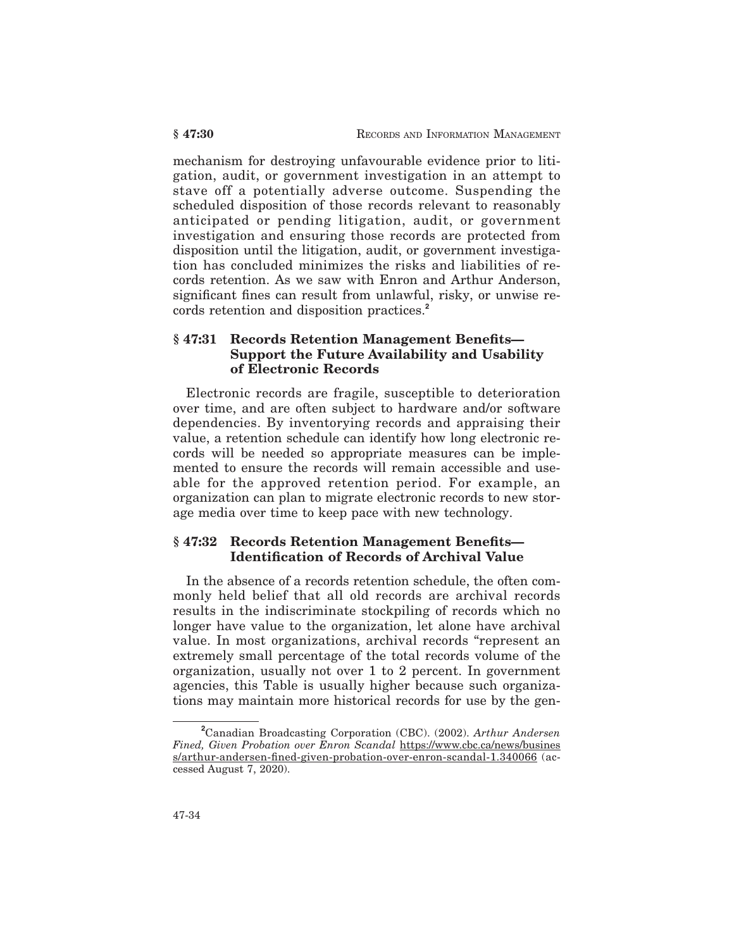mechanism for destroying unfavourable evidence prior to litigation, audit, or government investigation in an attempt to stave off a potentially adverse outcome. Suspending the scheduled disposition of those records relevant to reasonably anticipated or pending litigation, audit, or government investigation and ensuring those records are protected from disposition until the litigation, audit, or government investigation has concluded minimizes the risks and liabilities of records retention. As we saw with Enron and Arthur Anderson, significant fines can result from unlawful, risky, or unwise records retention and disposition practices.**<sup>2</sup>**

## **§ 47:31 Records Retention Management Benefits— Support the Future Availability and Usability of Electronic Records**

Electronic records are fragile, susceptible to deterioration over time, and are often subject to hardware and/or software dependencies. By inventorying records and appraising their value, a retention schedule can identify how long electronic records will be needed so appropriate measures can be implemented to ensure the records will remain accessible and useable for the approved retention period. For example, an organization can plan to migrate electronic records to new storage media over time to keep pace with new technology.

## **§ 47:32 Records Retention Management Benefits— Identification of Records of Archival Value**

In the absence of a records retention schedule, the often commonly held belief that all old records are archival records results in the indiscriminate stockpiling of records which no longer have value to the organization, let alone have archival value. In most organizations, archival records "represent an extremely small percentage of the total records volume of the organization, usually not over 1 to 2 percent. In government agencies, this Table is usually higher because such organizations may maintain more historical records for use by the gen-

**<sup>2</sup>**Canadian Broadcasting Corporation (CBC). (2002). *Arthur Andersen Fined, Given Probation over Enron Scandal* https://www.cbc.ca/news/busines s/arthur-andersen-fined-given-probation-over-enron-scandal-1.340066 (accessed August 7, 2020).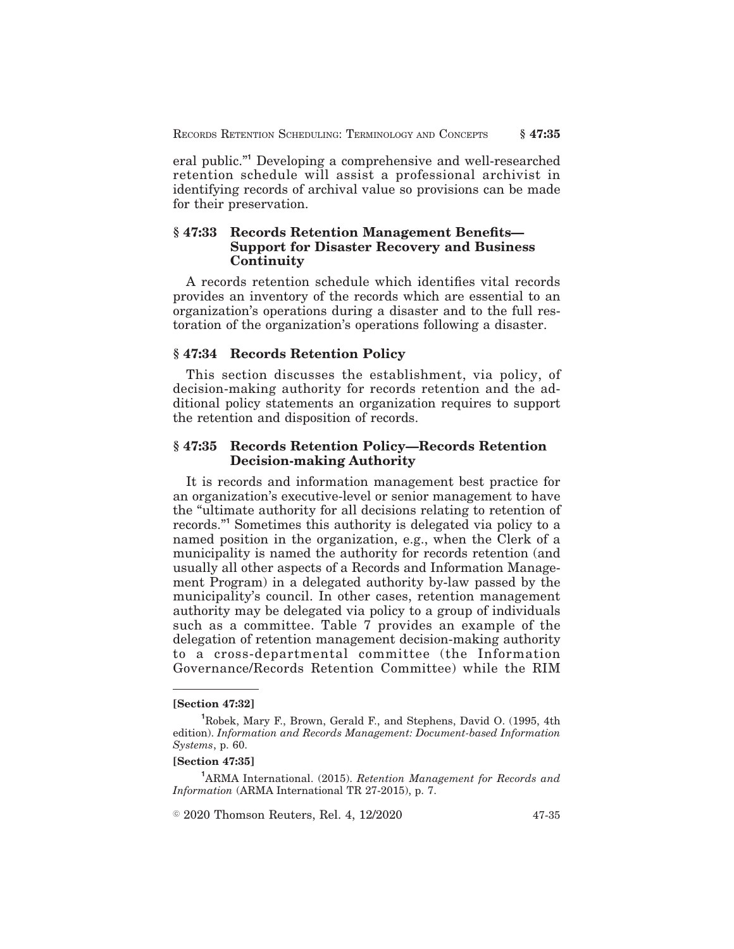eral public."**<sup>1</sup>** Developing a comprehensive and well-researched retention schedule will assist a professional archivist in identifying records of archival value so provisions can be made for their preservation.

## **§ 47:33 Records Retention Management Benefits— Support for Disaster Recovery and Business Continuity**

A records retention schedule which identifies vital records provides an inventory of the records which are essential to an organization's operations during a disaster and to the full restoration of the organization's operations following a disaster.

## **§ 47:34 Records Retention Policy**

This section discusses the establishment, via policy, of decision-making authority for records retention and the additional policy statements an organization requires to support the retention and disposition of records.

## **§ 47:35 Records Retention Policy—Records Retention Decision-making Authority**

It is records and information management best practice for an organization's executive-level or senior management to have the "ultimate authority for all decisions relating to retention of records."**<sup>1</sup>** Sometimes this authority is delegated via policy to a named position in the organization, e.g., when the Clerk of a municipality is named the authority for records retention (and usually all other aspects of a Records and Information Management Program) in a delegated authority by-law passed by the municipality's council. In other cases, retention management authority may be delegated via policy to a group of individuals such as a committee. Table 7 provides an example of the delegation of retention management decision-making authority to a cross-departmental committee (the Information Governance/Records Retention Committee) while the RIM

#### **[Section 47:35]**

**<sup>1</sup>**ARMA International. (2015). *Retention Management for Records and Information* (ARMA International TR 27-2015), p. 7.

 $\textcircled{2020}$  Thomson Reuters, Rel. 4, 12/2020  $\textcircled{47-35}$ 

**<sup>[</sup>Section 47:32]**

**<sup>1</sup>**Robek, Mary F., Brown, Gerald F., and Stephens, David O. (1995, 4th edition). *Information and Records Management: Document-based Information Systems*, p. 60.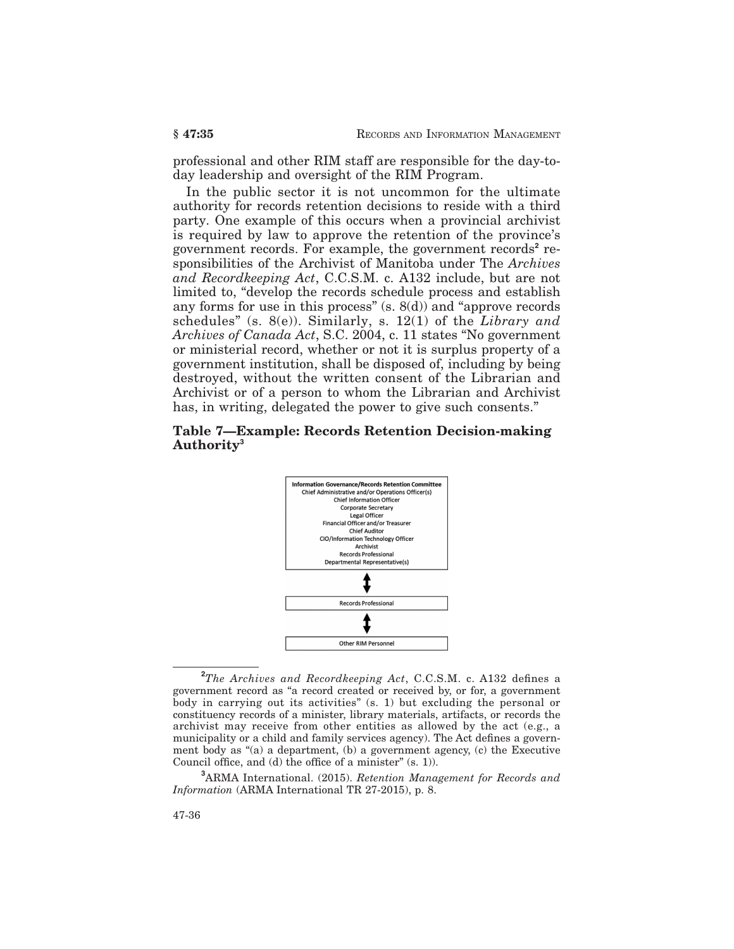professional and other RIM staff are responsible for the day-today leadership and oversight of the RIM Program.

In the public sector it is not uncommon for the ultimate authority for records retention decisions to reside with a third party. One example of this occurs when a provincial archivist is required by law to approve the retention of the province's government records. For example, the government records<sup>2</sup> responsibilities of the Archivist of Manitoba under The *Archives and Recordkeeping Act*, C.C.S.M. c. A132 include, but are not limited to, "develop the records schedule process and establish any forms for use in this process"  $(s, 8(d))$  and "approve records" schedules" (s. 8(e)). Similarly, s. 12(1) of the *Library and Archives of Canada Act*, S.C. 2004, c. 11 states "No government or ministerial record, whether or not it is surplus property of a government institution, shall be disposed of, including by being destroyed, without the written consent of the Librarian and Archivist or of a person to whom the Librarian and Archivist has, in writing, delegated the power to give such consents."

## **Table 7—Example: Records Retention Decision-making Authority<sup>3</sup>**



**<sup>2</sup>***The Archives and Recordkeeping Act*, C.C.S.M. c. A132 defines a government record as "a record created or received by, or for, a government body in carrying out its activities" (s. 1) but excluding the personal or constituency records of a minister, library materials, artifacts, or records the archivist may receive from other entities as allowed by the act (e.g., a municipality or a child and family services agency). The Act defines a government body as "(a) a department, (b) a government agency, (c) the Executive Council office, and (d) the office of a minister" (s. 1)).

**<sup>3</sup>**ARMA International. (2015). *Retention Management for Records and Information* (ARMA International TR 27-2015), p. 8.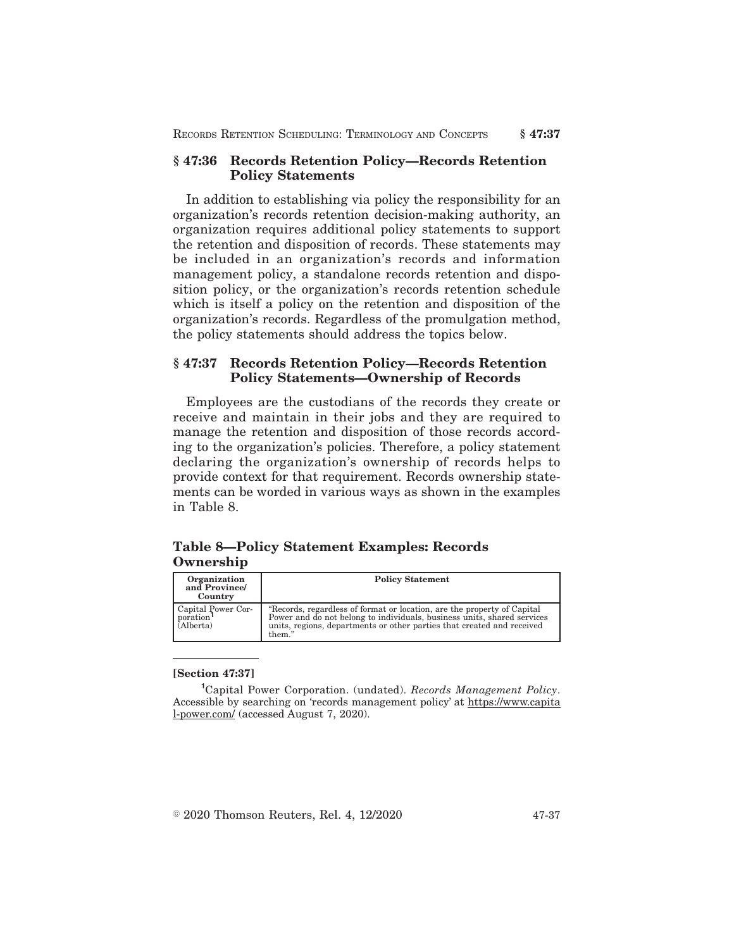## **§ 47:36 Records Retention Policy—Records Retention Policy Statements**

In addition to establishing via policy the responsibility for an organization's records retention decision-making authority, an organization requires additional policy statements to support the retention and disposition of records. These statements may be included in an organization's records and information management policy, a standalone records retention and disposition policy, or the organization's records retention schedule which is itself a policy on the retention and disposition of the organization's records. Regardless of the promulgation method, the policy statements should address the topics below.

## **§ 47:37 Records Retention Policy—Records Retention Policy Statements—Ownership of Records**

Employees are the custodians of the records they create or receive and maintain in their jobs and they are required to manage the retention and disposition of those records according to the organization's policies. Therefore, a policy statement declaring the organization's ownership of records helps to provide context for that requirement. Records ownership statements can be worded in various ways as shown in the examples in Table 8.

## **Table 8—Policy Statement Examples: Records Ownership**

| Organization<br>and Province<br>Country                  | <b>Policy Statement</b>                                                                                                                                                                                                                |
|----------------------------------------------------------|----------------------------------------------------------------------------------------------------------------------------------------------------------------------------------------------------------------------------------------|
| Capital Power Cor-<br>poration <sup>1</sup><br>(Alberta) | "Records, regardless of format or location, are the property of Capital<br>Power and do not belong to individuals, business units, shared services<br>units, regions, departments or other parties that created and received<br>them." |

## **[Section 47:37]**

**<sup>1</sup>**Capital Power Corporation. (undated). *Records Management Policy*. Accessible by searching on 'records management policy' at https://www.capita l-power.com/ (accessed August 7, 2020).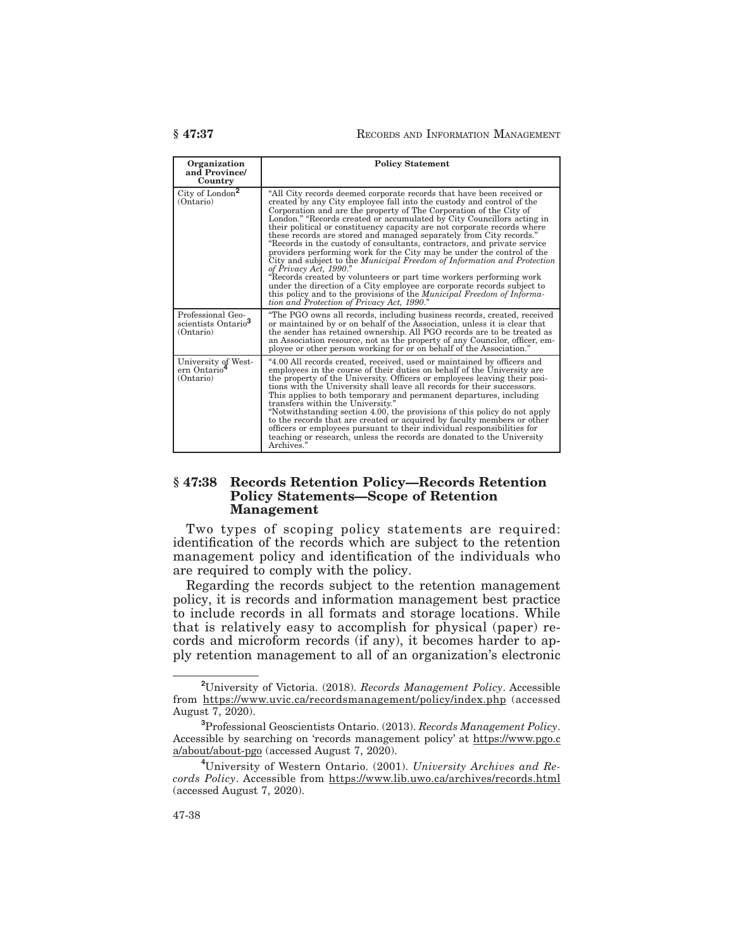| Organization<br>and Province/<br>Country                          | <b>Policy Statement</b>                                                                                                                                                                                                                                                                                                                                                                                                                                                                                                                                                                                                                                                                                                                                                                                                                                                                                                                                                                        |
|-------------------------------------------------------------------|------------------------------------------------------------------------------------------------------------------------------------------------------------------------------------------------------------------------------------------------------------------------------------------------------------------------------------------------------------------------------------------------------------------------------------------------------------------------------------------------------------------------------------------------------------------------------------------------------------------------------------------------------------------------------------------------------------------------------------------------------------------------------------------------------------------------------------------------------------------------------------------------------------------------------------------------------------------------------------------------|
| City of London <sup>2</sup><br>(Ontario)                          | "All City records deemed corporate records that have been received or<br>created by any City employee fall into the custody and control of the<br>Corporation and are the property of The Corporation of the City of<br>London." "Records created or accumulated by City Councillors acting in<br>their political or constituency capacity are not corporate records where<br>these records are stored and managed separately from City records."<br>"Records in the custody of consultants, contractors, and private service<br>providers performing work for the City may be under the control of the<br>City and subject to the Municipal Freedom of Information and Protection<br>of Privacy Act, 1990."<br>"Records created by volunteers or part time workers performing work<br>under the direction of a City employee are corporate records subject to<br>this policy and to the provisions of the <i>Municipal Freedom of Informa</i> -<br>tion and Protection of Privacy Act, 1990." |
| Professional Geo-<br>scientists Ontario <sup>3</sup><br>(Ontario) | "The PGO owns all records, including business records, created, received<br>or maintained by or on behalf of the Association, unless it is clear that<br>the sender has retained ownership. All PGO records are to be treated as<br>an Association resource, not as the property of any Councilor, officer, em-<br>ployee or other person working for or on behalf of the Association."                                                                                                                                                                                                                                                                                                                                                                                                                                                                                                                                                                                                        |
| University of West-<br>ern Ontario <sup>4</sup><br>(Ontario)      | 4.00 All records created, received, used or maintained by officers and<br>employees in the course of their duties on behalf of the University are<br>the property of the University. Officers or employees leaving their posi-<br>tions with the University shall leave all records for their successors.<br>This applies to both temporary and permanent departures, including<br>transfers within the University."<br>"Notwithstanding section 4.00, the provisions of this policy do not apply<br>to the records that are created or acquired by faculty members or other<br>officers or employees pursuant to their individual responsibilities for<br>teaching or research, unless the records are donated to the University<br>Archives."                                                                                                                                                                                                                                                |

## **§ 47:38 Records Retention Policy—Records Retention Policy Statements—Scope of Retention Management**

Two types of scoping policy statements are required: identification of the records which are subject to the retention management policy and identification of the individuals who are required to comply with the policy.

Regarding the records subject to the retention management policy, it is records and information management best practice to include records in all formats and storage locations. While that is relatively easy to accomplish for physical (paper) records and microform records (if any), it becomes harder to apply retention management to all of an organization's electronic

**<sup>2</sup>**University of Victoria. (2018). *Records Management Policy*. Accessible from https://www.uvic.ca/recordsmanagement/policy/index.php (accessed August 7, 2020).

**<sup>3</sup>**Professional Geoscientists Ontario. (2013). *Records Management Policy*. Accessible by searching on 'records management policy' at https://www.pgo.c a/about/about-pgo (accessed August 7, 2020).

**<sup>4</sup>**University of Western Ontario. (2001). *University Archives and Records Policy*. Accessible from https://www.lib.uwo.ca/archives/records.html (accessed August 7, 2020).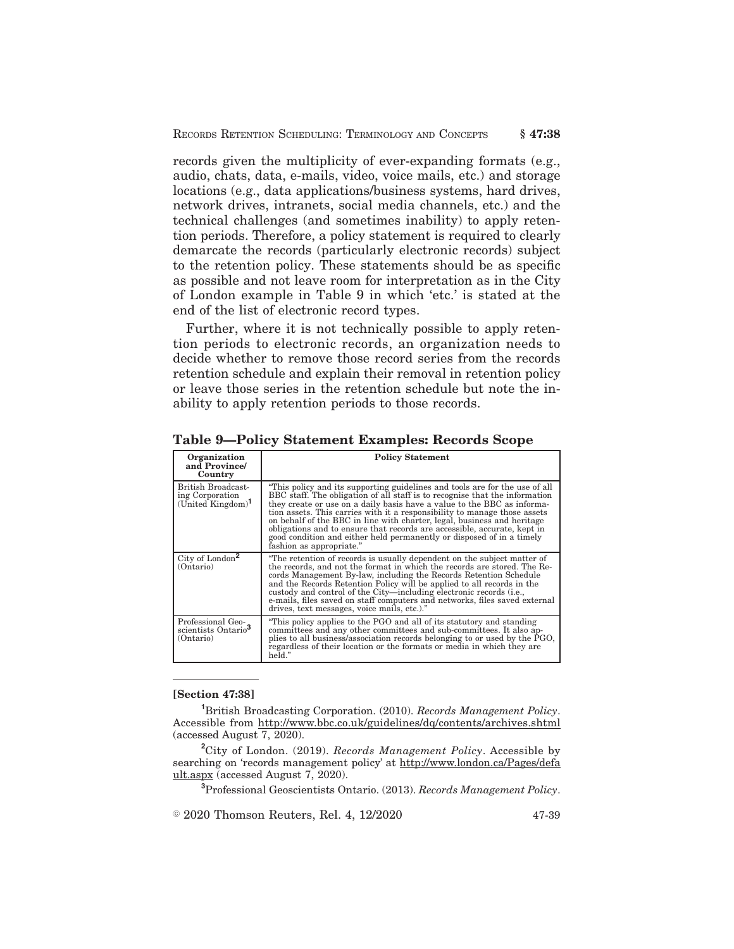records given the multiplicity of ever-expanding formats (e.g., audio, chats, data, e-mails, video, voice mails, etc.) and storage locations (e.g., data applications/business systems, hard drives, network drives, intranets, social media channels, etc.) and the technical challenges (and sometimes inability) to apply retention periods. Therefore, a policy statement is required to clearly demarcate the records (particularly electronic records) subject to the retention policy. These statements should be as specific as possible and not leave room for interpretation as in the City of London example in Table 9 in which 'etc.' is stated at the end of the list of electronic record types.

Further, where it is not technically possible to apply retention periods to electronic records, an organization needs to decide whether to remove those record series from the records retention schedule and explain their removal in retention policy or leave those series in the retention schedule but note the inability to apply retention periods to those records.

| Organization<br>and Province/<br>Country                          | <b>Policy Statement</b>                                                                                                                                                                                                                                                                                                                                                                                                                                                                                                                                                        |  |
|-------------------------------------------------------------------|--------------------------------------------------------------------------------------------------------------------------------------------------------------------------------------------------------------------------------------------------------------------------------------------------------------------------------------------------------------------------------------------------------------------------------------------------------------------------------------------------------------------------------------------------------------------------------|--|
| British Broadcast-<br>ing Corporation<br>$(United$ Kingdom $)^1$  | "This policy and its supporting guidelines and tools are for the use of all<br>BBC staff. The obligation of all staff is to recognise that the information<br>they create or use on a daily basis have a value to the BBC as informa-<br>tion assets. This carries with it a responsibility to manage those assets<br>on behalf of the BBC in line with charter, legal, business and heritage<br>obligations and to ensure that records are accessible, accurate, kept in<br>good condition and either held permanently or disposed of in a timely<br>fashion as appropriate." |  |
| City of London <sup>2</sup><br>(Ontario)                          | "The retention of records is usually dependent on the subject matter of<br>the records, and not the format in which the records are stored. The Re-<br>cords Management By-law, including the Records Retention Schedule<br>and the Records Retention Policy will be applied to all records in the<br>custody and control of the City—including electronic records (i.e.,<br>e-mails, files saved on staff computers and networks, files saved external<br>drives, text messages, voice mails, etc.)."                                                                         |  |
| Professional Geo-<br>scientists Ontario <sup>3</sup><br>(Ontario) | "This policy applies to the PGO and all of its statutory and standing"<br>committees and any other committees and sub-committees. It also ap-<br>plies to all business/association records belonging to or used by the PGO,<br>regardless of their location or the formats or media in which they are<br>held."                                                                                                                                                                                                                                                                |  |

**Table 9—Policy Statement Examples: Records Scope**

#### **[Section 47:38]**

**<sup>1</sup>**British Broadcasting Corporation. (2010). *Records Management Policy*. Accessible from http://www.bbc.co.uk/guidelines/dq/contents/archives.shtml (accessed August 7, 2020).

**<sup>2</sup>**City of London. (2019). *Records Management Policy*. Accessible by searching on 'records management policy' at http://www.london.ca/Pages/defa ult.aspx (accessed August 7, 2020).

**<sup>3</sup>**Professional Geoscientists Ontario. (2013). *Records Management Policy*.

 $\textdegree$  2020 Thomson Reuters, Rel. 4, 12/2020  $\textdegree$  47-39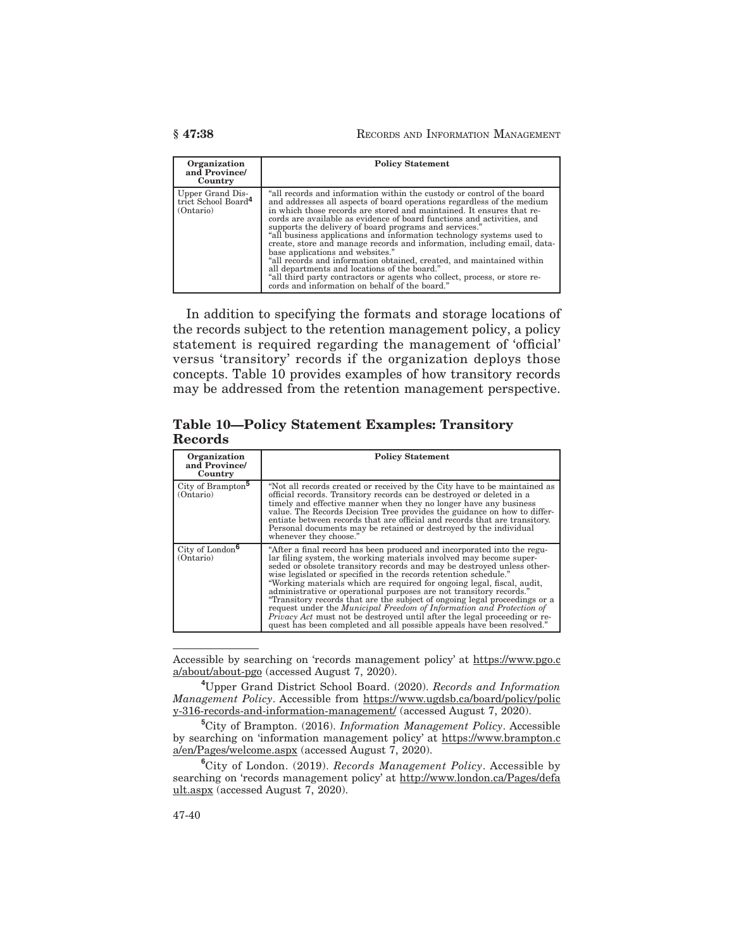| Organization<br>and Province/<br>Country                         | <b>Policy Statement</b>                                                                                                                                                                                                                                                                                                                                                                                                                                                                                                                                                                                                                                                                                                                                                                                    |
|------------------------------------------------------------------|------------------------------------------------------------------------------------------------------------------------------------------------------------------------------------------------------------------------------------------------------------------------------------------------------------------------------------------------------------------------------------------------------------------------------------------------------------------------------------------------------------------------------------------------------------------------------------------------------------------------------------------------------------------------------------------------------------------------------------------------------------------------------------------------------------|
| Upper Grand Dis-<br>trict School Board <sup>4</sup><br>(Ontario) | "all records and information within the custody or control of the board<br>and addresses all aspects of board operations regardless of the medium<br>in which those records are stored and maintained. It ensures that re-<br>cords are available as evidence of board functions and activities, and<br>supports the delivery of board programs and services."<br>"all business applications and information technology systems used to<br>create, store and manage records and information, including email, data-<br>base applications and websites."<br>"all records and information obtained, created, and maintained within<br>all departments and locations of the board."<br>"all third party contractors or agents who collect, process, or store records and information on behalf of the board." |

In addition to specifying the formats and storage locations of the records subject to the retention management policy, a policy statement is required regarding the management of 'official' versus 'transitory' records if the organization deploys those concepts. Table 10 provides examples of how transitory records may be addressed from the retention management perspective.

**Table 10—Policy Statement Examples: Transitory Records**

| Organization<br>and Province/<br>Country   | <b>Policy Statement</b>                                                                                                                                                                                                                                                                                                                                                                                                                                                                                                                                                                                                                                                                                                                                             |
|--------------------------------------------|---------------------------------------------------------------------------------------------------------------------------------------------------------------------------------------------------------------------------------------------------------------------------------------------------------------------------------------------------------------------------------------------------------------------------------------------------------------------------------------------------------------------------------------------------------------------------------------------------------------------------------------------------------------------------------------------------------------------------------------------------------------------|
| City of Brampton <sup>5</sup><br>(Ontario) | "Not all records created or received by the City have to be maintained as<br>official records. Transitory records can be destroyed or deleted in a<br>timely and effective manner when they no longer have any business<br>value. The Records Decision Tree provides the guidance on how to differ-<br>entiate between records that are official and records that are transitory.<br>Personal documents may be retained or destroyed by the individual<br>whenever they choose."                                                                                                                                                                                                                                                                                    |
| City of London <sup>6</sup><br>(Ontario)   | "After a final record has been produced and incorporated into the regu-<br>lar filing system, the working materials involved may become super-<br>seded or obsolete transitory records and may be destroyed unless other-<br>wise legislated or specified in the records retention schedule."<br>"Working materials which are required for ongoing legal, fiscal, audit,<br>administrative or operational purposes are not transitory records."<br>"Transitory records that are the subject of ongoing legal proceedings or a<br>request under the Municipal Freedom of Information and Protection of<br><i>Privacy Act</i> must not be destroyed until after the legal proceeding or re-<br>quest has been completed and all possible appeals have been resolved." |

Accessible by searching on 'records management policy' at https://www.pgo.c a/about/about-pgo (accessed August 7, 2020).

**<sup>4</sup>**Upper Grand District School Board. (2020). *Records and Information Management Policy*. Accessible from https://www.ugdsb.ca/board/policy/polic y-316-records-and-information-management/ (accessed August 7, 2020).

**<sup>5</sup>**City of Brampton. (2016). *Information Management Policy*. Accessible by searching on 'information management policy' at https://www.brampton.c a/en/Pages/welcome.aspx (accessed August 7, 2020).

**<sup>6</sup>**City of London. (2019). *Records Management Policy*. Accessible by searching on 'records management policy' at http://www.london.ca/Pages/defa ult.aspx (accessed August 7, 2020).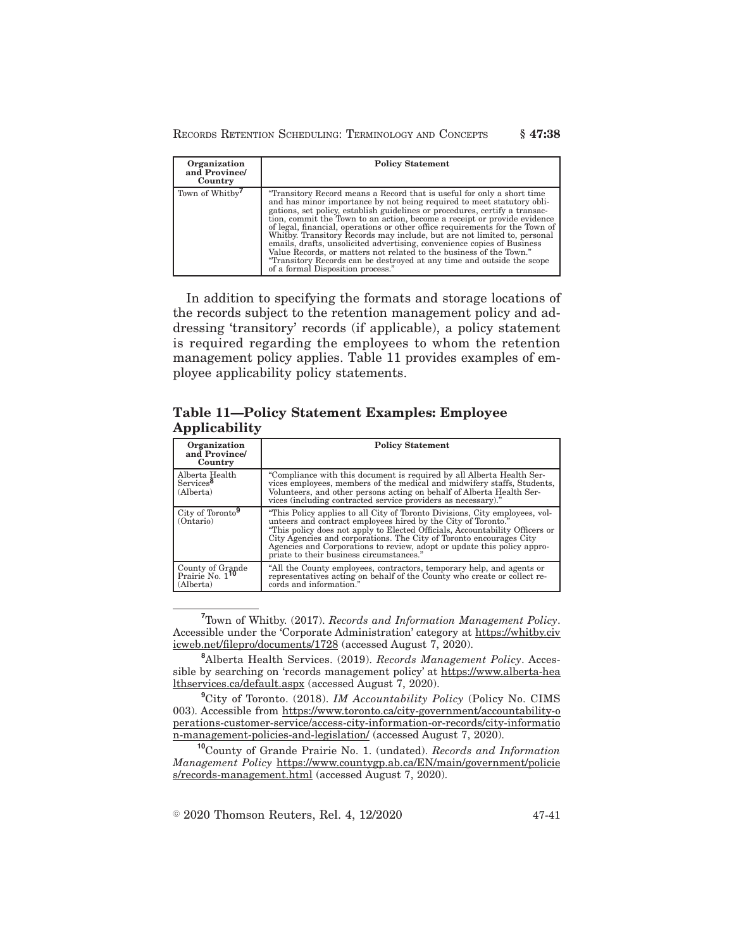### RECORDS RETENTION SCHEDULING: TERMINOLOGY AND CONCEPTS **§ 47:38**

| Organization<br>and Province/<br>Country | <b>Policy Statement</b>                                                                                                                                                                                                                                                                                                                                                                                                                                                                                                                                                                                                                                                                                                                   |
|------------------------------------------|-------------------------------------------------------------------------------------------------------------------------------------------------------------------------------------------------------------------------------------------------------------------------------------------------------------------------------------------------------------------------------------------------------------------------------------------------------------------------------------------------------------------------------------------------------------------------------------------------------------------------------------------------------------------------------------------------------------------------------------------|
| Town of Whitby <sup>7</sup>              | "Transitory Record means a Record that is useful for only a short time"<br>and has minor importance by not being required to meet statutory obli-<br>gations, set policy, establish guidelines or procedures, certify a transac-<br>tion, commit the Town to an action, become a receipt or provide evidence<br>of legal, financial, operations or other office requirements for the Town of<br>Whitby. Transitory Records may include, but are not limited to, personal<br>emails, drafts, unsolicited advertising, convenience copies of Business<br>Value Records, or matters not related to the business of the Town."<br>"Transitory Records can be destroyed at any time and outside the scope<br>of a formal Disposition process." |

In addition to specifying the formats and storage locations of the records subject to the retention management policy and addressing 'transitory' records (if applicable), a policy statement is required regarding the employees to whom the retention management policy applies. Table 11 provides examples of employee applicability policy statements.

## **Table 11—Policy Statement Examples: Employee Applicability**

| Organization<br>and Province/<br>Country                     | <b>Policy Statement</b>                                                                                                                                                                                                                                                                                                                                                                                                 |
|--------------------------------------------------------------|-------------------------------------------------------------------------------------------------------------------------------------------------------------------------------------------------------------------------------------------------------------------------------------------------------------------------------------------------------------------------------------------------------------------------|
| Alberta Health<br>Services <sup>8</sup><br>(Alberta)         | "Compliance with this document is required by all Alberta Health Ser-<br>vices employees, members of the medical and midwifery staffs, Students,<br>Volunteers, and other persons acting on behalf of Alberta Health Ser-<br>vices (including contracted service providers as necessary)."                                                                                                                              |
| City of Toronto <sup>9</sup><br>(Ontario)                    | "This Policy applies to all City of Toronto Divisions, City employees, vol-<br>unteers and contract employees hired by the City of Toronto."<br>"This policy does not apply to Elected Officials, Accountability Officers or City Agencies and corporations. The City of Toronto encourages City<br>Agencies and Corporations to review, adopt or update this policy appro-<br>priate to their business circumstances." |
| County of Grande<br>Prairie No. 1 <sup>10</sup><br>(Alberta) | "All the County employees, contractors, temporary help, and agents or<br>representatives acting on behalf of the County who create or collect re-<br>cords and information."                                                                                                                                                                                                                                            |

**<sup>7</sup>**Town of Whitby. (2017). *Records and Information Management Policy*. Accessible under the 'Corporate Administration' category at https://whitby.civ icweb.net/filepro/documents/1728 (accessed August 7, 2020).

**<sup>8</sup>**Alberta Health Services. (2019). *Records Management Policy*. Accessible by searching on 'records management policy' at https://www.alberta-hea lthservices.ca/default.aspx (accessed August 7, 2020).

**<sup>9</sup>**City of Toronto. (2018). *IM Accountability Policy* (Policy No. CIMS 003). Accessible from https://www.toronto.ca/city-government/accountability-o perations-customer-service/access-city-information-or-records/city-informatio n-management-policies-and-legislation/ (accessed August 7, 2020).

**<sup>10</sup>**County of Grande Prairie No. 1. (undated). *Records and Information Management Policy* https://www.countygp.ab.ca/EN/main/government/policie s/records-management.html (accessed August 7, 2020).

 $\textdegree$  2020 Thomson Reuters, Rel. 4, 12/2020 47-41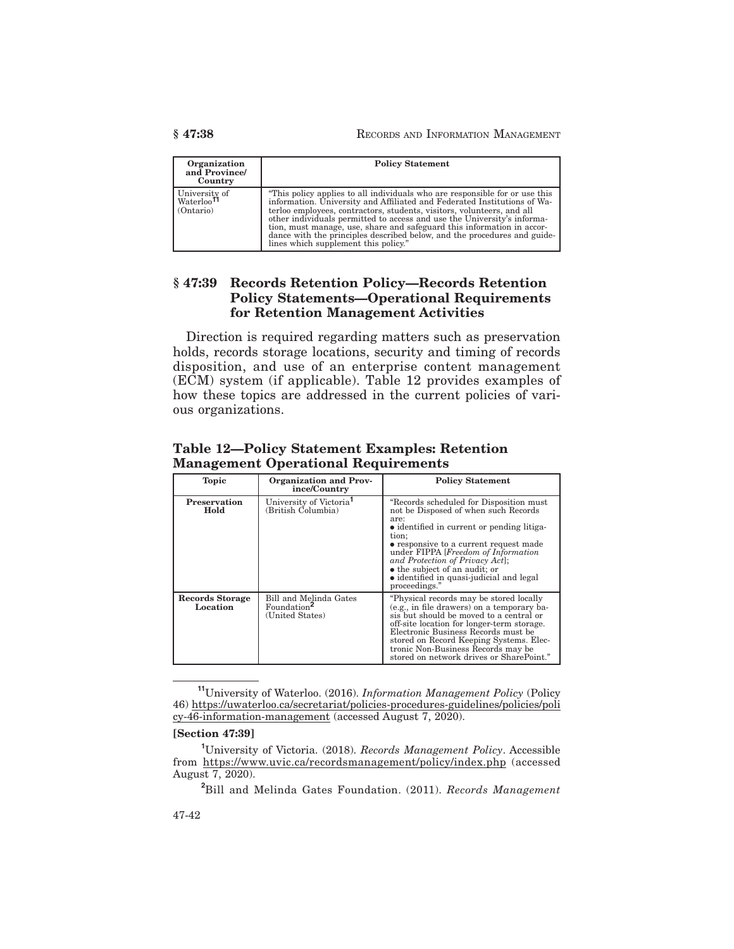| Organization<br>and Province<br>Country              | <b>Policy Statement</b>                                                                                                                                                                                                                                                                                                                                                                                                                                                                                    |  |
|------------------------------------------------------|------------------------------------------------------------------------------------------------------------------------------------------------------------------------------------------------------------------------------------------------------------------------------------------------------------------------------------------------------------------------------------------------------------------------------------------------------------------------------------------------------------|--|
| University of<br>Waterloo <sup>11</sup><br>(Ontario) | "This policy applies to all individuals who are responsible for or use this<br>information. University and Affiliated and Federated Institutions of Wa-<br>terloo employees, contractors, students, visitors, volunteers, and all<br>other individuals permitted to access and use the University's informa-<br>tion, must manage, use, share and safeguard this information in accor-<br>dance with the principles described below, and the procedures and guide-<br>lines which supplement this policy." |  |

## **§ 47:39 Records Retention Policy—Records Retention Policy Statements—Operational Requirements for Retention Management Activities**

Direction is required regarding matters such as preservation holds, records storage locations, security and timing of records disposition, and use of an enterprise content management (ECM) system (if applicable). Table 12 provides examples of how these topics are addressed in the current policies of various organizations.

| <b>Topic</b>                       | Organization and Prov-<br>ince/Country                               | <b>Policy Statement</b>                                                                                                                                                                                                                                                                                                                                           |
|------------------------------------|----------------------------------------------------------------------|-------------------------------------------------------------------------------------------------------------------------------------------------------------------------------------------------------------------------------------------------------------------------------------------------------------------------------------------------------------------|
| <b>Preservation</b><br>Hold        | University of Victoria <sup>1</sup><br>(British Columbia)            | "Records scheduled for Disposition must<br>not be Disposed of when such Records<br>are:<br>• identified in current or pending litiga-<br>tion;<br>• responsive to a current request made<br>under FIPPA [Freedom of Information]<br>and Protection of Privacy Act);<br>• the subject of an audit; or<br>• identified in quasi-judicial and legal<br>proceedings." |
| <b>Records Storage</b><br>Location | Bill and Melinda Gates<br>Foundation <sup>2</sup><br>(United States) | "Physical records may be stored locally"<br>(e.g., in file drawers) on a temporary ba-<br>sis but should be moved to a central or<br>off-site location for longer-term storage.<br>Electronic Business Records must be<br>stored on Record Keeping Systems. Elec-<br>tronic Non-Business Records may be<br>stored on network drives or SharePoint."               |

**Table 12—Policy Statement Examples: Retention Management Operational Requirements**

#### **[Section 47:39]**

**<sup>11</sup>**University of Waterloo. (2016). *Information Management Policy* (Policy 46) https://uwaterloo.ca/secretariat/policies-procedures-guidelines/policies/poli cy-46-information-management (accessed August 7, 2020).

**<sup>1</sup>**University of Victoria. (2018). *Records Management Policy*. Accessible from https://www.uvic.ca/recordsmanagement/policy/index.php (accessed August 7, 2020).

**<sup>2</sup>**Bill and Melinda Gates Foundation. (2011). *Records Management*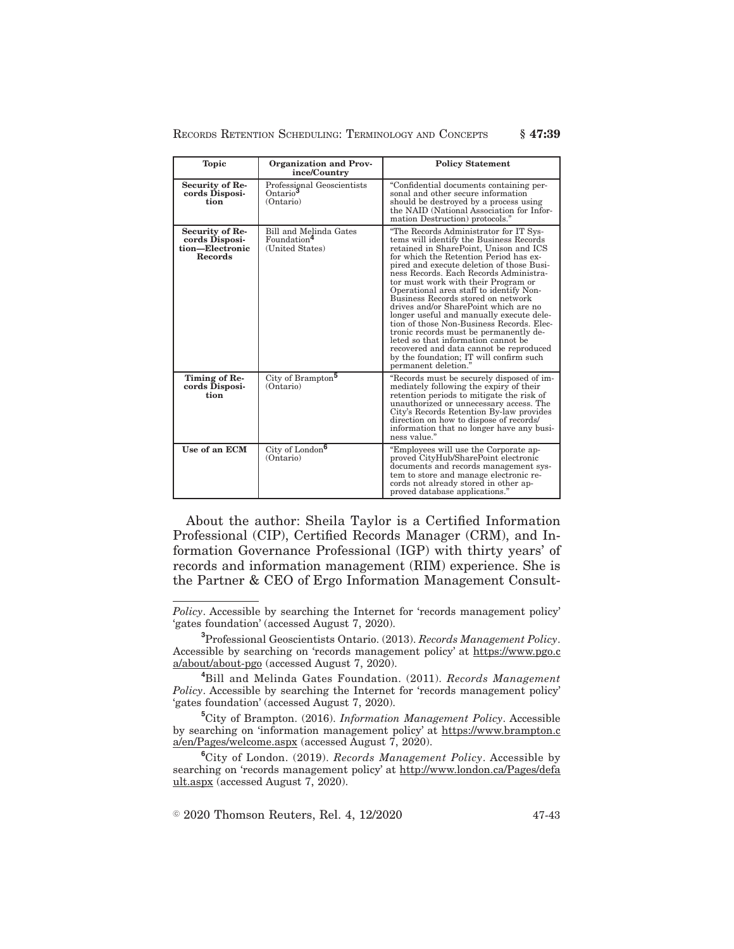| <b>Topic</b>                                                           | Organization and Prov-<br>ince/Country                               | <b>Policy Statement</b>                                                                                                                                                                                                                                                                                                                                                                                                                                                                                                                                                                                                                                                                                               |
|------------------------------------------------------------------------|----------------------------------------------------------------------|-----------------------------------------------------------------------------------------------------------------------------------------------------------------------------------------------------------------------------------------------------------------------------------------------------------------------------------------------------------------------------------------------------------------------------------------------------------------------------------------------------------------------------------------------------------------------------------------------------------------------------------------------------------------------------------------------------------------------|
| Security of Re-<br>cords Disposi-<br>tion                              | Professional Geoscientists<br>Ontario <sup>3</sup><br>(Ontario)      | "Confidential documents containing per-<br>sonal and other secure information<br>should be destroved by a process using<br>the NAID (National Association for Infor-<br>mation Destruction) protocols."                                                                                                                                                                                                                                                                                                                                                                                                                                                                                                               |
| Security of Re-<br>cords Disposi-<br>tion-Electronic<br><b>Records</b> | Bill and Melinda Gates<br>Foundation <sup>4</sup><br>(United States) | "The Records Administrator for IT Sys-<br>tems will identify the Business Records<br>retained in SharePoint, Unison and ICS<br>for which the Retention Period has ex-<br>pired and execute deletion of those Busi-<br>ness Records. Each Records Administra-<br>tor must work with their Program or<br>Operational area staff to identify Non-<br>Business Records stored on network<br>drives and/or SharePoint which are no<br>longer useful and manually execute dele-<br>tion of those Non-Business Records. Elec-<br>tronic records must be permanently de-<br>leted so that information cannot be<br>recovered and data cannot be reproduced<br>by the foundation; IT will confirm such<br>permanent deletion." |
| Timing of Re-<br>cords Disposi-<br>tion                                | City of Brampton <sup>5</sup><br>(Ontario)                           | "Records must be securely disposed of im-<br>mediately following the expiry of their<br>retention periods to mitigate the risk of<br>unauthorized or unnecessary access. The<br>City's Records Retention By-law provides<br>direction on how to dispose of records/<br>information that no longer have any busi-<br>ness value."                                                                                                                                                                                                                                                                                                                                                                                      |
| Use of an ECM                                                          | City of London <sup>6</sup><br>(Ontario)                             | "Employees will use the Corporate ap-<br>proved CityHub/SharePoint electronic<br>documents and records management sys-<br>tem to store and manage electronic re-<br>cords not already stored in other ap-<br>proved database applications."                                                                                                                                                                                                                                                                                                                                                                                                                                                                           |

RECORDS RETENTION SCHEDULING: TERMINOLOGY AND CONCEPTS **§ 47:39**

About the author: Sheila Taylor is a Certified Information Professional (CIP), Certified Records Manager (CRM), and Information Governance Professional (IGP) with thirty years' of records and information management (RIM) experience. She is the Partner & CEO of Ergo Information Management Consult-

**<sup>5</sup>**City of Brampton. (2016). *Information Management Policy*. Accessible by searching on 'information management policy' at https://www.brampton.c a/en/Pages/welcome.aspx (accessed August 7, 2020).

**<sup>6</sup>**City of London. (2019). *Records Management Policy*. Accessible by searching on 'records management policy' at http://www.london.ca/Pages/defa ult.aspx (accessed August 7, 2020).

 $\textdegree$  2020 Thomson Reuters, Rel. 4, 12/2020 47-43

*Policy*. Accessible by searching the Internet for 'records management policy' 'gates foundation' (accessed August 7, 2020).

**<sup>3</sup>**Professional Geoscientists Ontario. (2013). *Records Management Policy*. Accessible by searching on 'records management policy' at https://www.pgo.c a/about/about-pgo (accessed August 7, 2020).

**<sup>4</sup>**Bill and Melinda Gates Foundation. (2011). *Records Management Policy*. Accessible by searching the Internet for 'records management policy' 'gates foundation' (accessed August 7, 2020).